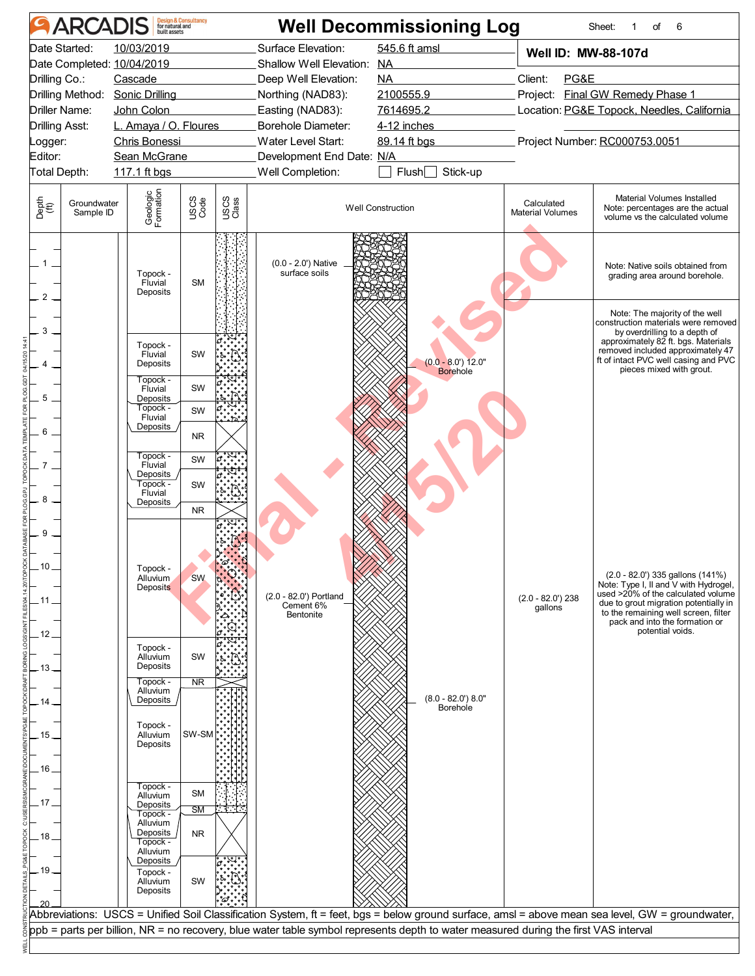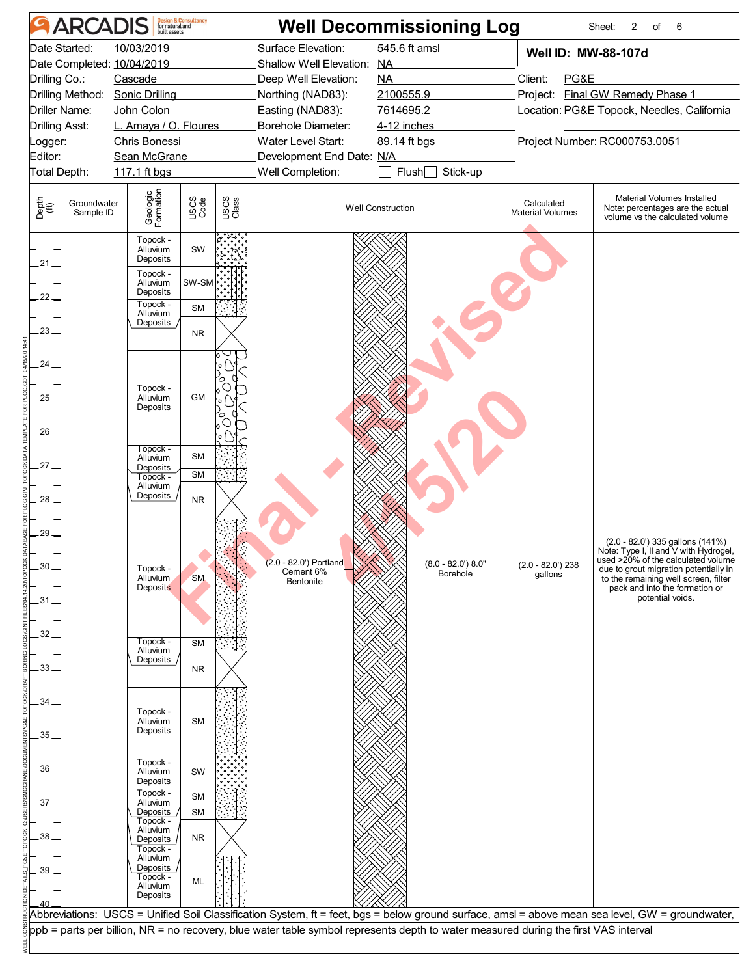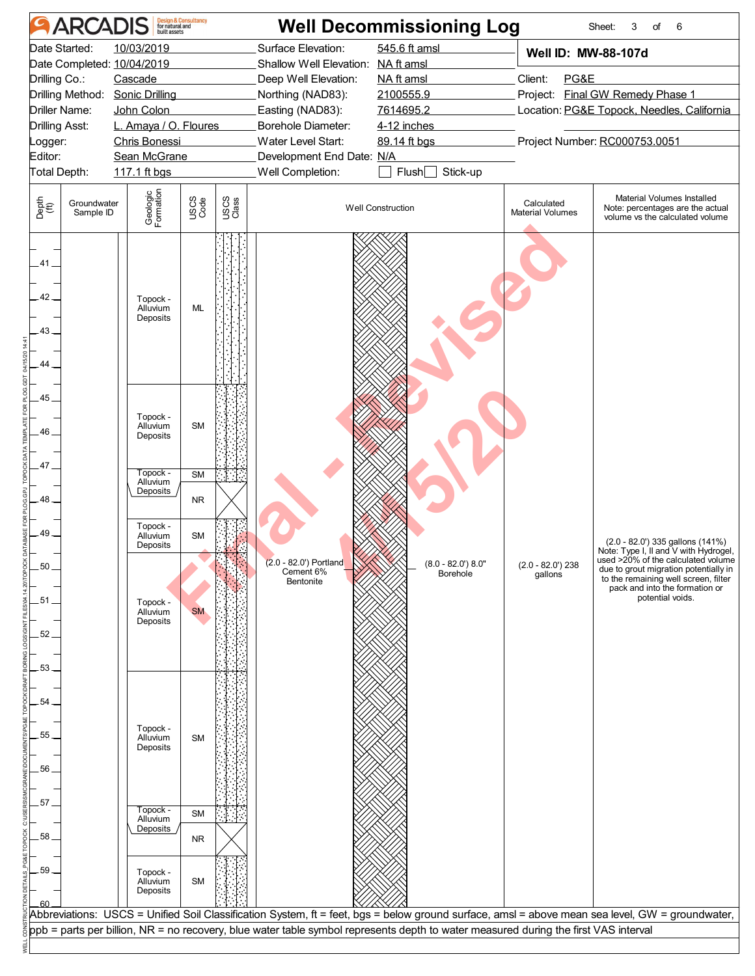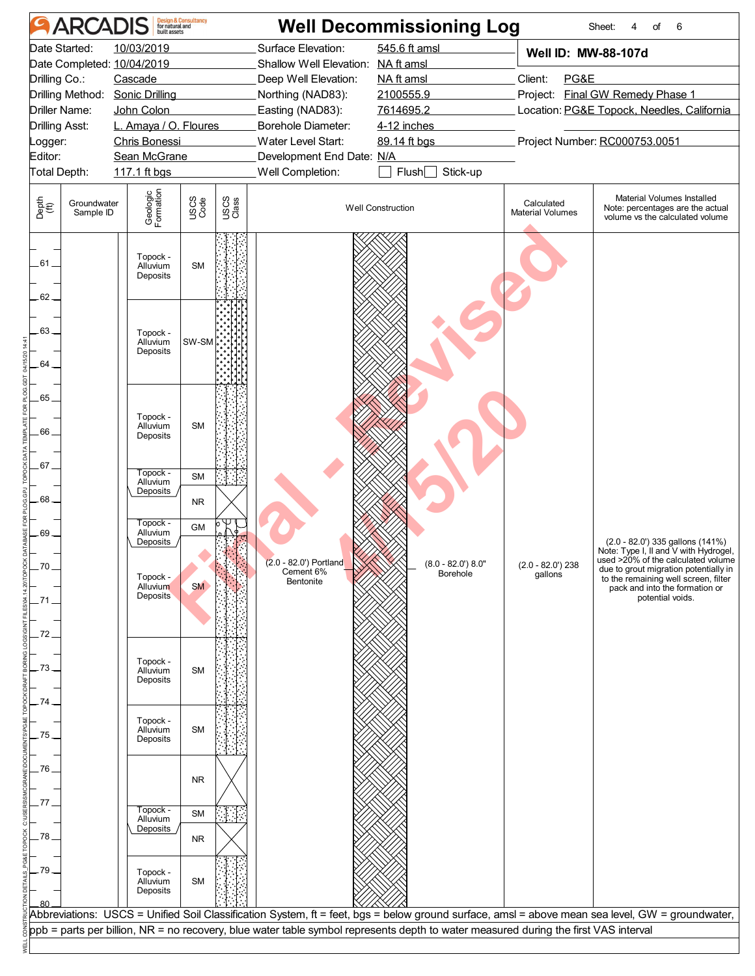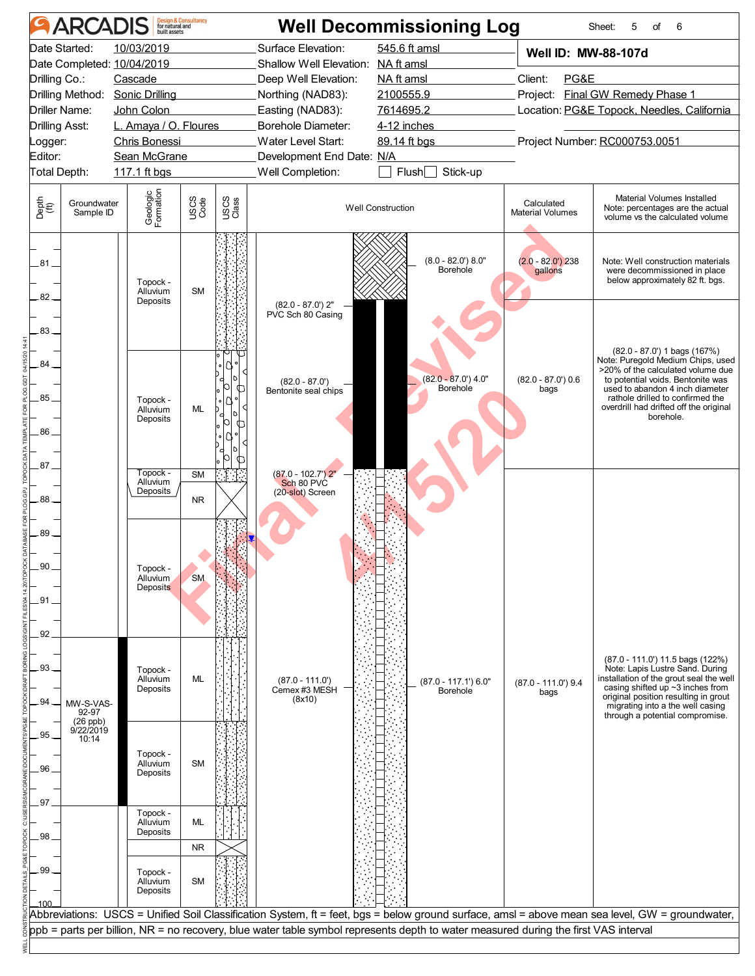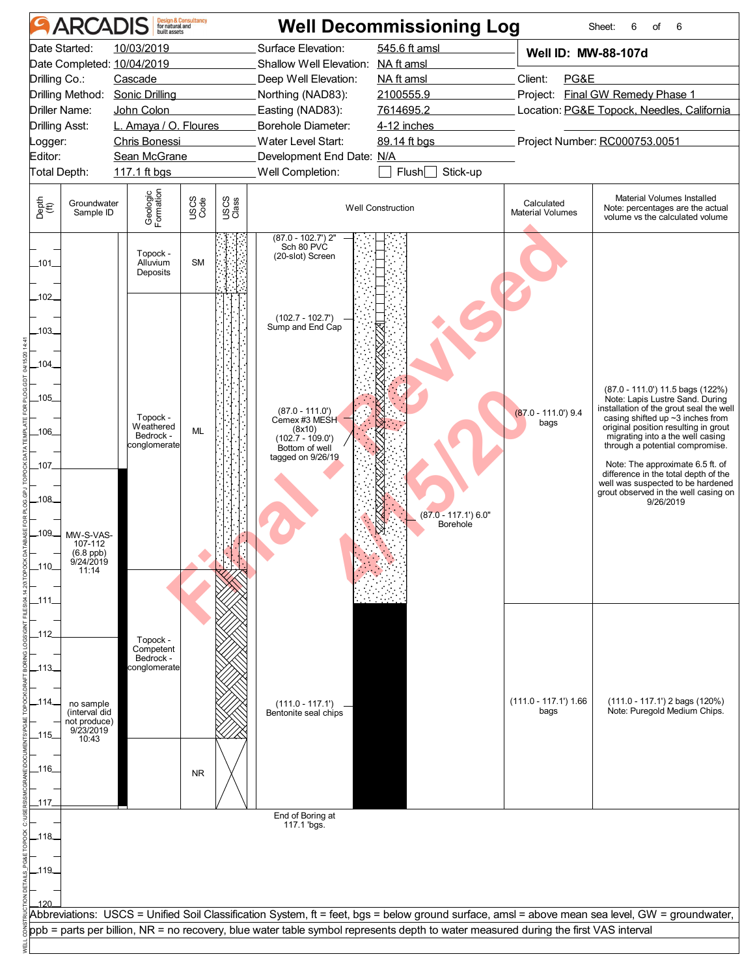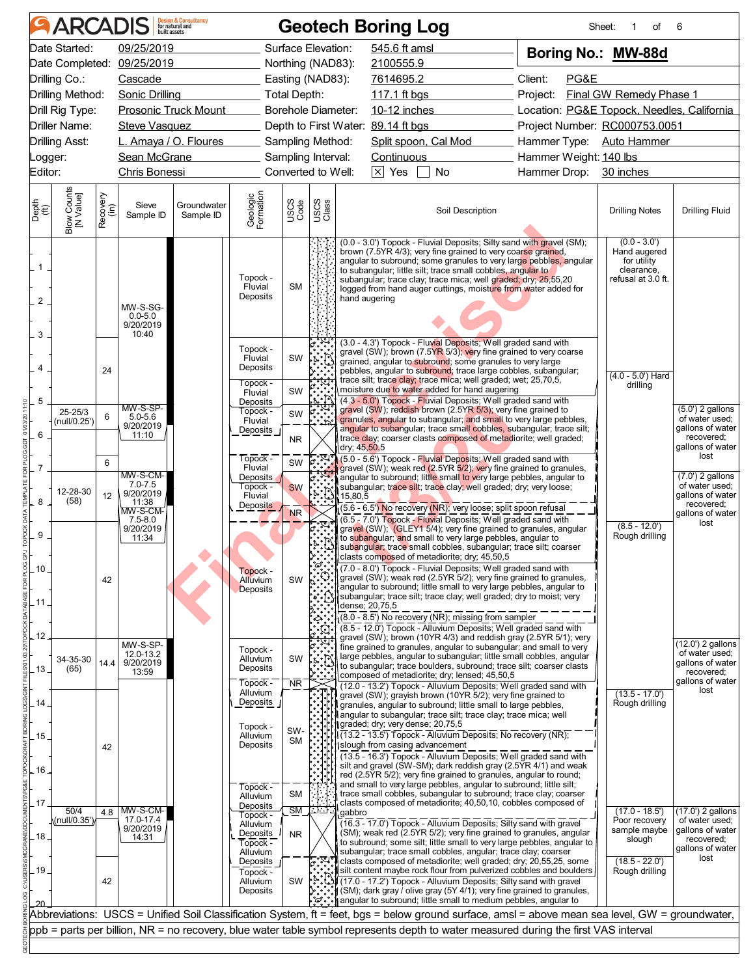| <b>ARCADIS</b>                                                            |                  |                                               | <b>Design &amp; Consultancy</b><br>for natural and |                                                            |                  |                                                                    | <b>Geotech Boring Log</b>                                                                                                                                                                                                                                                                                                                                                                                                     |                                            | Sheet:<br>οf<br>1                                                                 | 6                                                                    |
|---------------------------------------------------------------------------|------------------|-----------------------------------------------|----------------------------------------------------|------------------------------------------------------------|------------------|--------------------------------------------------------------------|-------------------------------------------------------------------------------------------------------------------------------------------------------------------------------------------------------------------------------------------------------------------------------------------------------------------------------------------------------------------------------------------------------------------------------|--------------------------------------------|-----------------------------------------------------------------------------------|----------------------------------------------------------------------|
| Date Started:                                                             |                  | 09/25/2019                                    |                                                    |                                                            |                  | Surface Elevation:                                                 | 545.6 ft amsl                                                                                                                                                                                                                                                                                                                                                                                                                 | Boring No.: MW-88d                         |                                                                                   |                                                                      |
| Date Completed: 09/25/2019                                                |                  |                                               |                                                    |                                                            |                  | Northing (NAD83):                                                  | 2100555.9                                                                                                                                                                                                                                                                                                                                                                                                                     |                                            |                                                                                   |                                                                      |
| Drilling Co.:                                                             |                  | Cascade                                       |                                                    |                                                            |                  | Easting (NAD83):                                                   | 7614695.2                                                                                                                                                                                                                                                                                                                                                                                                                     | Client:<br>PG&E                            |                                                                                   |                                                                      |
| Drilling Method:                                                          |                  |                                               | Sonic Drilling <b>Sonic Sonic Services</b>         |                                                            | Total Depth:     |                                                                    |                                                                                                                                                                                                                                                                                                                                                                                                                               | Project:                                   | Final GW Remedy Phase 1                                                           |                                                                      |
| Drill Rig Type:                                                           |                  |                                               | <b>Prosonic Truck Mount</b>                        |                                                            |                  | Borehole Diameter:                                                 | 10-12 inches                                                                                                                                                                                                                                                                                                                                                                                                                  | Location: PG&E Topock, Needles, California |                                                                                   |                                                                      |
| <b>Driller Name:</b>                                                      |                  | <b>Steve Vasquez</b>                          |                                                    |                                                            |                  |                                                                    | Depth to First Water: 89.14 ft bgs                                                                                                                                                                                                                                                                                                                                                                                            | Project Number: RC000753.0051              |                                                                                   |                                                                      |
| <b>Drilling Asst:</b>                                                     |                  |                                               | L. Amaya / O. Floures                              |                                                            |                  | Sampling Method:                                                   | Split spoon, Cal Mod                                                                                                                                                                                                                                                                                                                                                                                                          | Hammer Type: Auto Hammer                   |                                                                                   |                                                                      |
| Logger:                                                                   |                  |                                               | Sean McGrane                                       |                                                            |                  | Sampling Interval:                                                 | Continuous                                                                                                                                                                                                                                                                                                                                                                                                                    | Hammer Weight: 140 lbs                     |                                                                                   |                                                                      |
| Editor:                                                                   |                  | Chris Bonessi                                 |                                                    |                                                            |                  | Converted to Well:                                                 | $\Box$ No<br>$\boxed{\times}$ Yes $\boxed{\phantom{1}}$                                                                                                                                                                                                                                                                                                                                                                       | Hammer Drop: 30 inches                     |                                                                                   |                                                                      |
|                                                                           |                  |                                               |                                                    |                                                            |                  |                                                                    |                                                                                                                                                                                                                                                                                                                                                                                                                               |                                            |                                                                                   |                                                                      |
| Blow Counts<br>[N Value]<br>Depth<br>$\overset{\text{(ff)}}{\text{(ft)}}$ | Recovery<br>(in) | Sieve<br>Sample ID                            | Groundwater<br>Sample ID                           | Geologic<br>Formation                                      | USCS<br>Code     | USCS<br>Class                                                      | Soil Description                                                                                                                                                                                                                                                                                                                                                                                                              |                                            | <b>Drilling Notes</b>                                                             | <b>Drilling Fluid</b>                                                |
| $\mathbf{1}$<br>2<br>3                                                    |                  | MW-S-SG-<br>$0.0 - 5.0$<br>9/20/2019<br>10:40 |                                                    | Topock -<br>Fluvial<br>Deposits                            | <b>SM</b>        |                                                                    | (0.0 - 3.0') Topock - Fluvial Deposits; Silty sand with gravel (SM);<br>brown (7.5YR 4/3); very fine grained to very coarse grained,<br>angular to subround; some granules to very large pebbles, angular<br>to subangular; little silt; trace small cobbles, angular to<br>subangular; trace clay; trace mica; well graded; dry; 25,55,20<br>logged from hand auger cuttings, moisture from water added for<br>hand augering |                                            | $(0.0 - 3.0')$<br>Hand augered<br>for utility<br>clearance,<br>refusal at 3.0 ft. |                                                                      |
| $\overline{4}$                                                            | 24               |                                               |                                                    | Topock -<br>Fluvial<br>Deposits<br>Topock -                | SW               | $\frac{5}{2}$                                                      | (3.0 - 4.3') Topock - Fluvial Deposits; Well graded sand with<br>gravel (SW); brown (7.5YR 5/3); very fine grained to very coarse<br>grained, angular to subround; some granules to very large<br>pebbles, angular to subround; trace large cobbles, subangular;<br>trace silt; trace clay; trace mica; well graded; wet; 25,70,5,                                                                                            |                                            | $(4.0 - 5.0)$ Hard<br>drilling                                                    |                                                                      |
| 5                                                                         |                  |                                               |                                                    | Fluvial                                                    | SW               |                                                                    | moisture due to water added for hand augering<br>(4.3 - 5.0') Topock - Fluvial Deposits; Well graded sand with                                                                                                                                                                                                                                                                                                                |                                            |                                                                                   |                                                                      |
| 25-25/3                                                                   | 6                | MW-S-SP-                                      |                                                    | Deposits<br>Topock -                                       | SW               |                                                                    | gravel (SW); reddish brown (2.5YR 5/3); very fine grained to                                                                                                                                                                                                                                                                                                                                                                  |                                            |                                                                                   | $(5.0')$ 2 gallons                                                   |
| (null/0.25')                                                              |                  | $5.0 - 5.6$<br>9/20/2019                      |                                                    | Fluvial<br>Deposits                                        |                  |                                                                    | granules, angular to subangular; and small to very large pebbles,<br>angular to subangular; trace small cobbles, subangular; trace silt;                                                                                                                                                                                                                                                                                      |                                            |                                                                                   | of water used;<br>gallons of water                                   |
| 6                                                                         |                  | 11:10                                         |                                                    |                                                            | <b>NR</b>        |                                                                    | trace clay; coarser clasts composed of metadiorite; well graded;                                                                                                                                                                                                                                                                                                                                                              |                                            |                                                                                   | recovered;                                                           |
|                                                                           |                  |                                               |                                                    | Topock -                                                   |                  | ľი.                                                                | dry; 45,50.5<br>(5.0 - 5.6') Topock - Fluvial Deposits; Well graded sand with                                                                                                                                                                                                                                                                                                                                                 |                                            |                                                                                   | gallons of water<br>lost                                             |
| $\overline{7}$                                                            | 6                | MW-S-CM-                                      |                                                    | Fluvial                                                    | SW               |                                                                    | gravel (SW); weak red (2.5YR 5/2); very fine grained to granules,                                                                                                                                                                                                                                                                                                                                                             |                                            |                                                                                   | $(7.0')$ 2 gallons                                                   |
|                                                                           |                  | $7.0 - 7.5$                                   |                                                    | Deposits<br>Topock -                                       | <b>SW</b>        |                                                                    | angular to subround; little small to very large pebbles, angular to<br>subangular; trace silt; trace clay; well graded; dry; very loose;                                                                                                                                                                                                                                                                                      |                                            |                                                                                   | of water used;                                                       |
| 12-28-30<br>8<br>(58)                                                     | 12               | 9/20/2019<br>11:38                            |                                                    | Fluvial<br>Deposits                                        |                  |                                                                    | 15,80,5                                                                                                                                                                                                                                                                                                                                                                                                                       |                                            |                                                                                   | gallons of water<br>recovered;                                       |
|                                                                           |                  | MW-S-CM-<br>$7.5 - 8.0$                       |                                                    |                                                            | <b>NR</b>        |                                                                    | (5.6 - 6.5') No recovery (NR), very loose; split spoon refusal<br>(6.5 - 7.0') Topock - Fluvial Deposits; Well graded sand with                                                                                                                                                                                                                                                                                               |                                            |                                                                                   | gallons of water                                                     |
| 9                                                                         |                  | 9/20/2019                                     |                                                    |                                                            |                  |                                                                    | gravel (SW); (GLEY1 5/4); very fine grained to granules, angular                                                                                                                                                                                                                                                                                                                                                              |                                            | $(8.5 - 12.0')$<br>Rough drilling                                                 | lost                                                                 |
|                                                                           |                  | 11:34                                         |                                                    |                                                            |                  |                                                                    | to subangular; and small to very large pebbles, angular to<br>subangular; trace small cobbles, subangular; trace silt; coarser                                                                                                                                                                                                                                                                                                |                                            |                                                                                   |                                                                      |
|                                                                           |                  |                                               |                                                    |                                                            |                  | ್ಷ                                                                 | clasts composed of metadiorite; dry; 45,50,5                                                                                                                                                                                                                                                                                                                                                                                  |                                            |                                                                                   |                                                                      |
| 10.                                                                       | 42               |                                               |                                                    | Topock -<br>Alluvium                                       | SW               |                                                                    | (7.0 - 8.0') Topock - Fluvial Deposits; Well graded sand with<br>gravel (SW); weak red (2.5YR 5/2); very fine grained to granules,                                                                                                                                                                                                                                                                                            |                                            |                                                                                   |                                                                      |
|                                                                           |                  |                                               |                                                    | <b>Deposits</b>                                            |                  |                                                                    | angular to subround; little small to very large pebbles, angular to                                                                                                                                                                                                                                                                                                                                                           |                                            |                                                                                   |                                                                      |
|                                                                           |                  |                                               |                                                    |                                                            |                  | $\Omega_{\rm s}$                                                   | subangular; trace silt; trace clay; well graded; dry to moist; very<br>dense; 20,75,5                                                                                                                                                                                                                                                                                                                                         |                                            |                                                                                   |                                                                      |
|                                                                           |                  |                                               |                                                    |                                                            |                  |                                                                    | (8.0 - 8.5') No recovery (NR); missing from sampler                                                                                                                                                                                                                                                                                                                                                                           |                                            |                                                                                   |                                                                      |
| 12                                                                        |                  |                                               |                                                    |                                                            |                  |                                                                    | (8.5 - 12.0) Topock - Alluvium Deposits; Well graded sand with<br>gravel (SW); brown (10YR 4/3) and reddish gray (2.5YR 5/1); very                                                                                                                                                                                                                                                                                            |                                            |                                                                                   |                                                                      |
|                                                                           |                  | MW-S-SP-                                      |                                                    | Topock -                                                   |                  |                                                                    | fine grained to granules, angular to subangular; and small to very                                                                                                                                                                                                                                                                                                                                                            |                                            |                                                                                   | (12.0') 2 gallons<br>of water used;                                  |
| 34-35-30<br>(65)                                                          | 14.4             | 12.0-13.2<br>9/20/2019                        |                                                    | Alluvium<br>Deposits                                       | SW               |                                                                    | large pebbles, angular to subangular; little small cobbles, angular<br>to subangular; trace boulders, subround; trace silt; coarser clasts                                                                                                                                                                                                                                                                                    |                                            |                                                                                   | gallons of water                                                     |
| 13 <sub>1</sub>                                                           |                  | 13:59                                         |                                                    | Topock -                                                   | $N\overline{R}$  |                                                                    | composed of metadiorite; dry; lensed; 45,50,5                                                                                                                                                                                                                                                                                                                                                                                 |                                            |                                                                                   | recovered;<br>gallons of water                                       |
|                                                                           |                  |                                               |                                                    | Alluvium                                                   |                  |                                                                    | (12.0 - 13.2') Topock - Alluvium Deposits; Well graded sand with<br>gravel (SW); grayish brown (10YR 5/2); very fine grained to                                                                                                                                                                                                                                                                                               |                                            | $(13.5 - 17.0')$                                                                  | lost                                                                 |
| 14                                                                        |                  |                                               |                                                    | Deposits                                                   |                  |                                                                    | granules, angular to subround; little small to large pebbles,                                                                                                                                                                                                                                                                                                                                                                 |                                            | Rough drilling                                                                    |                                                                      |
|                                                                           |                  |                                               |                                                    | Topock -                                                   |                  |                                                                    | angular to subangular; trace silt; trace clay; trace mica; well<br>graded; dry; very dense; 20,75,5                                                                                                                                                                                                                                                                                                                           |                                            |                                                                                   |                                                                      |
| 15                                                                        |                  |                                               |                                                    | Alluvium                                                   | SW-<br><b>SM</b> |                                                                    | (13.2 - 13.5') Topock - Alluvium Deposits; No recovery (NR);                                                                                                                                                                                                                                                                                                                                                                  |                                            |                                                                                   |                                                                      |
|                                                                           | 42               |                                               |                                                    | Deposits                                                   |                  |                                                                    | slough from casing advancement<br>(13.5 - 16.3') Topock - Alluvium Deposits; Well graded sand with                                                                                                                                                                                                                                                                                                                            |                                            |                                                                                   |                                                                      |
| 16 <sub>1</sub>                                                           |                  |                                               |                                                    |                                                            |                  |                                                                    | silt and gravel (SW-SM); dark reddish gray (2.5YR 4/1) and weak                                                                                                                                                                                                                                                                                                                                                               |                                            |                                                                                   |                                                                      |
|                                                                           |                  |                                               |                                                    | Topock -                                                   |                  |                                                                    | red (2.5YR 5/2); very fine grained to granules, angular to round;<br>and small to very large pebbles, angular to subround; little silt;                                                                                                                                                                                                                                                                                       |                                            |                                                                                   |                                                                      |
|                                                                           |                  |                                               |                                                    | Alluvium                                                   | <b>SM</b>        |                                                                    | trace small cobbles, subangular to subround; trace clay; coarser                                                                                                                                                                                                                                                                                                                                                              |                                            |                                                                                   |                                                                      |
| 17<br>50/4                                                                |                  | 4.8 MW-S-CM-                                  |                                                    | Deposits<br>Topock -                                       |                  | $\overline{\text{SM}}$ $\overline{\text{L}}$ $\overline{\text{L}}$ | clasts composed of metadiorite; 40,50,10, cobbles composed of<br>gabbro                                                                                                                                                                                                                                                                                                                                                       |                                            | $(17.0 - 18.5)$                                                                   | (17.0') 2 gallons                                                    |
| (null/0.35')<br>.18 <sub>1</sub>                                          |                  | 17.0-17.4<br>9/20/2019<br>14:31               |                                                    | Alluvium<br>Deposits<br>$\overline{T}$ opock -<br>Alluvium | <b>NR</b>        |                                                                    | (16.3 - 17.0') Topock - Alluvium Deposits; Silty sand with gravel<br>(SM); weak red (2.5YR 5/2); very fine grained to granules, angular<br>to subround; some silt; little small to very large pebbles, angular to<br>subangular; trace small cobbles, angular; trace clay; coarser                                                                                                                                            |                                            | Poor recovery<br>sample maybe<br>slough                                           | of water used;<br>gallons of water<br>recovered;<br>gallons of water |
|                                                                           |                  |                                               |                                                    | Deposits                                                   |                  |                                                                    | clasts composed of metadiorite; well graded; dry; 20,55,25, some<br>silt content maybe rock flour from pulverized cobbles and boulders                                                                                                                                                                                                                                                                                        |                                            | $(18.5 - 22.0')$<br>Rough drilling                                                | lost                                                                 |
|                                                                           |                  |                                               |                                                    | Topock -                                                   | SW               |                                                                    | (17.0 - 17.2') Topock - Alluvium Deposits; Silty sand with gravel                                                                                                                                                                                                                                                                                                                                                             |                                            |                                                                                   |                                                                      |
| 19                                                                        | 42               |                                               |                                                    | Alluvium                                                   |                  |                                                                    |                                                                                                                                                                                                                                                                                                                                                                                                                               |                                            |                                                                                   |                                                                      |
|                                                                           |                  |                                               |                                                    | Deposits                                                   |                  |                                                                    | (SM); dark gray / olive gray (5Y 4/1); very fine grained to granules,                                                                                                                                                                                                                                                                                                                                                         |                                            |                                                                                   |                                                                      |
|                                                                           |                  |                                               |                                                    |                                                            |                  |                                                                    | angular to subround; little small to medium pebbles, angular to                                                                                                                                                                                                                                                                                                                                                               |                                            |                                                                                   |                                                                      |
|                                                                           |                  |                                               |                                                    |                                                            |                  |                                                                    | Abbreviations: USCS = Unified Soil Classification System, ft = feet, bgs = below ground surface, amsl = above mean sea level, GW = groundwater,<br>ppb = parts per billion, NR = no recovery, blue water table symbol represents depth to water measured during the first VAS interval                                                                                                                                        |                                            |                                                                                   |                                                                      |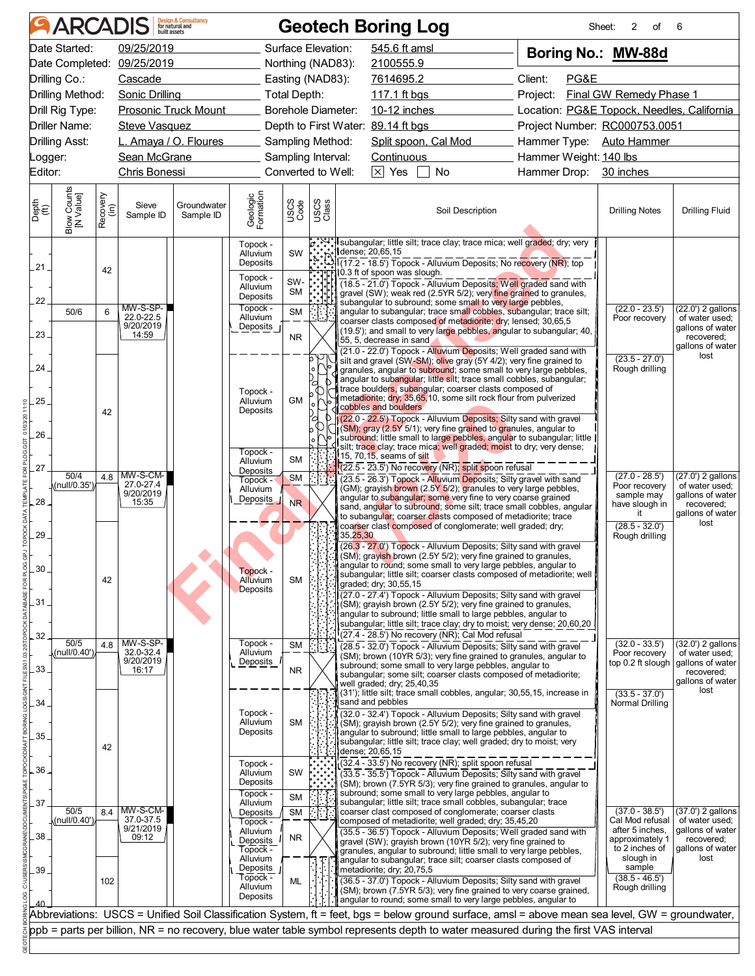|                                               |                          |                  | <b>ARCADIS</b> Design & Consultancy             |                                                                                                                                     |                                                                                  |                             |               |          | <b>Geotech Boring Log</b>                  |                                                                                                                                                                                                                                                                                                                                                                                                                                                                                                                                                                                                                                                                                          |  |                        | 2<br>Sheet:<br>οf                                                                                                                               | 6                                                                                                   |  |
|-----------------------------------------------|--------------------------|------------------|-------------------------------------------------|-------------------------------------------------------------------------------------------------------------------------------------|----------------------------------------------------------------------------------|-----------------------------|---------------|----------|--------------------------------------------|------------------------------------------------------------------------------------------------------------------------------------------------------------------------------------------------------------------------------------------------------------------------------------------------------------------------------------------------------------------------------------------------------------------------------------------------------------------------------------------------------------------------------------------------------------------------------------------------------------------------------------------------------------------------------------------|--|------------------------|-------------------------------------------------------------------------------------------------------------------------------------------------|-----------------------------------------------------------------------------------------------------|--|
|                                               | Date Started:            |                  | 09/25/2019                                      |                                                                                                                                     |                                                                                  | Surface Elevation:          |               |          | 545.6 ft amsl                              |                                                                                                                                                                                                                                                                                                                                                                                                                                                                                                                                                                                                                                                                                          |  |                        | Boring No.: MW-88d                                                                                                                              |                                                                                                     |  |
|                                               |                          |                  | Date Completed: 09/25/2019                      |                                                                                                                                     |                                                                                  | Northing (NAD83):           |               |          | 2100555.9                                  |                                                                                                                                                                                                                                                                                                                                                                                                                                                                                                                                                                                                                                                                                          |  |                        |                                                                                                                                                 |                                                                                                     |  |
|                                               | Drilling Co.:            |                  | Cascade                                         |                                                                                                                                     | Easting (NAD83):<br>7614695.2                                                    |                             |               |          |                                            | Client:<br>PG&E                                                                                                                                                                                                                                                                                                                                                                                                                                                                                                                                                                                                                                                                          |  |                        |                                                                                                                                                 |                                                                                                     |  |
|                                               | Drilling Method:         |                  |                                                 | Sonic Drilling <b>Sonic Address</b>                                                                                                 |                                                                                  | Total Depth:                |               |          |                                            |                                                                                                                                                                                                                                                                                                                                                                                                                                                                                                                                                                                                                                                                                          |  |                        | Project: Final GW Remedy Phase 1                                                                                                                |                                                                                                     |  |
|                                               | Drill Rig Type:          |                  |                                                 | <b>Prosonic Truck Mount</b>                                                                                                         |                                                                                  | <b>Borehole Diameter:</b>   |               |          |                                            | 10-12 inches <b>100-100 mm</b>                                                                                                                                                                                                                                                                                                                                                                                                                                                                                                                                                                                                                                                           |  |                        | Location: PG&E Topock, Needles, California                                                                                                      |                                                                                                     |  |
|                                               | <b>Driller Name:</b>     |                  | <b>Steve Vasquez</b>                            |                                                                                                                                     |                                                                                  |                             |               |          | Depth to First Water: 89.14 ft bgs         |                                                                                                                                                                                                                                                                                                                                                                                                                                                                                                                                                                                                                                                                                          |  |                        | Project Number: RC000753.0051                                                                                                                   |                                                                                                     |  |
|                                               | <b>Drilling Asst:</b>    |                  |                                                 | L. Amaya / O. Floures                                                                                                               |                                                                                  | Sampling Method:            |               |          |                                            | Split spoon, Cal Mod                                                                                                                                                                                                                                                                                                                                                                                                                                                                                                                                                                                                                                                                     |  |                        | Hammer Type: Auto Hammer                                                                                                                        |                                                                                                     |  |
| Logger:                                       |                          |                  |                                                 | Sean McGrane                                                                                                                        |                                                                                  | Sampling Interval:          |               |          | Continuous                                 |                                                                                                                                                                                                                                                                                                                                                                                                                                                                                                                                                                                                                                                                                          |  | Hammer Weight: 140 lbs |                                                                                                                                                 |                                                                                                     |  |
| Editor:                                       |                          |                  | Chris Bonessi                                   |                                                                                                                                     |                                                                                  | Converted to Well:          |               |          | $\boxed{\times}$ Yes $\boxed{\phantom{1}}$ | $\Box$ No                                                                                                                                                                                                                                                                                                                                                                                                                                                                                                                                                                                                                                                                                |  |                        | Hammer Drop: 30 inches                                                                                                                          |                                                                                                     |  |
| Depth<br>$\overset{\text{(ff)}}{\text{(ft)}}$ | Blow Counts<br>[N Value] | Recovery<br>(in) | Sieve<br>Sample ID                              | Groundwater<br>Sample ID                                                                                                            | Geologic<br>Formation                                                            | USCS<br>Code                | USCS<br>Class |          |                                            | Soil Description                                                                                                                                                                                                                                                                                                                                                                                                                                                                                                                                                                                                                                                                         |  |                        | <b>Drilling Notes</b>                                                                                                                           | <b>Drilling Fluid</b>                                                                               |  |
| .21.                                          |                          | 42               |                                                 |                                                                                                                                     | Topock -<br>Alluvium<br>Deposits                                                 | SW                          |               |          | dense; 20,65,15                            | <u> ;</u> ; ; …] subangular; little silt; trace clay; trace mica; well graded; dry; very<br>$\sqrt{17.2 - 18.5}$ Topock - Alluvium Deposits; No recovery (NR); top                                                                                                                                                                                                                                                                                                                                                                                                                                                                                                                       |  |                        |                                                                                                                                                 |                                                                                                     |  |
|                                               |                          |                  |                                                 |                                                                                                                                     | Topock -<br>Alluvium                                                             | SW-<br><b>SM</b>            |               |          | 10.3 ft of spoon was slough.               | (18.5 - 21.0") Topock - Alluvium Deposits; Well graded sand with<br>gravel (SW); weak red (2.5YR 5/2); very fine grained to granules,                                                                                                                                                                                                                                                                                                                                                                                                                                                                                                                                                    |  |                        |                                                                                                                                                 |                                                                                                     |  |
| 22                                            | 50/6                     | 6                | MW-S-SP-                                        |                                                                                                                                     | Deposits<br>Topock -                                                             | <b>SM</b>                   |               |          |                                            | subangular to subround; some small to very large pebbles,<br>angular to subangular; trace small cobbles, subangular; trace silt;                                                                                                                                                                                                                                                                                                                                                                                                                                                                                                                                                         |  |                        | $(22.0 - 23.5')$                                                                                                                                | $(22.0')$ 2 gallons                                                                                 |  |
| .23.                                          |                          |                  | 22.0-22.5<br>9/20/2019<br>14:59                 |                                                                                                                                     | Alluvium<br>Deposits                                                             | <b>NR</b>                   |               |          | 55, 5, decrease in sand                    | coarser clasts composed of metadiorite; dry; lensed; 30,65,5<br>(19.5'); and small to very large pebbles, angular to subangular; 40,                                                                                                                                                                                                                                                                                                                                                                                                                                                                                                                                                     |  |                        | Poor recovery                                                                                                                                   | of water used:<br>gallons of water<br>recovered;                                                    |  |
|                                               |                          |                  |                                                 |                                                                                                                                     |                                                                                  |                             |               |          |                                            | (21.0 - 22.0') Topock - Alluvium Deposits; Well graded sand with<br>silt and gravel (SW-SM); olive gray (5Y 4/2); very fine grained to                                                                                                                                                                                                                                                                                                                                                                                                                                                                                                                                                   |  |                        | $(23.5 - 27.0')$                                                                                                                                | gallons of water<br>lost                                                                            |  |
| 24.<br>.25.                                   |                          |                  |                                                 |                                                                                                                                     | Topock -<br>Alluvium                                                             | <b>GM</b>                   | a             |          |                                            | granules, angular to subround; some small to very large pebbles,<br>angular to subangular; little silt; trace small cobbles, subangular;<br>trace boulders, subangular; coarser clasts composed of<br>metadiorite; dry; 35,65,10, some silt rock flour from pulverized                                                                                                                                                                                                                                                                                                                                                                                                                   |  |                        | Rough drilling                                                                                                                                  |                                                                                                     |  |
| 26.                                           |                          | 42               |                                                 |                                                                                                                                     | Deposits                                                                         |                             |               |          | cobbles and boulders                       | (22.0 - 22.5') Topock - Alluvium Deposits; Silty sand with gravel<br>(SM); gray (2.5Y 5/1); very fine grained to granules, angular to<br>subround; little small to large pebbles, angular to subangular; little                                                                                                                                                                                                                                                                                                                                                                                                                                                                          |  |                        |                                                                                                                                                 |                                                                                                     |  |
| 27                                            |                          |                  |                                                 |                                                                                                                                     | Topock -<br>Alluvium<br>Deposits                                                 | <b>SM</b>                   |               |          | 15, 70,15, seams of silt                   | silt; trace clay; trace mica; well graded; moist to dry; very dense;<br>$(22.5 - 23.5)$ No recovery (NR); split spoon refusal                                                                                                                                                                                                                                                                                                                                                                                                                                                                                                                                                            |  |                        |                                                                                                                                                 |                                                                                                     |  |
| .28.                                          | 50/4<br>(null/0.35')     |                  | 4.8 MW-S-CM-<br>27.0-27.4<br>9/20/2019<br>15:35 |                                                                                                                                     | Topock -<br>Alluvium<br>Deposits                                                 | <b>SM</b><br>N <sub>R</sub> |               |          |                                            | (23.5 - 26.3') Topock - Alluvium Deposits; Silty gravel with sand<br>(GM); grayish brown (2.5Y 5/2); granules to very large pebbles,<br>angular to subangular; some very fine to very coarse grained<br>sand, angular to subround; some silt; trace small cobbles, angular<br>to subangular; coarser clasts composed of metadiorite; trace                                                                                                                                                                                                                                                                                                                                               |  |                        | $(27.0 - 28.5')$<br>Poor recovery<br>sample may<br>have slough in<br>it                                                                         | (27.0') 2 gallons<br>of water used;<br>gallons of water<br>recovered;<br>gallons of water           |  |
| 29<br>30.<br>.31<br>32                        |                          | 42               |                                                 |                                                                                                                                     | Topock -<br>Alluvium<br><b>Deposits</b>                                          | <b>SM</b>                   |               | 35,25,30 | graded; dry; 30,55,15                      | coarser clast composed of conglomerate; well graded; dry;<br>(26.3 - 27.0') Topock - Alluvium Deposits; Silty sand with gravel<br>(SM); grayish brown (2.5Y 5/2); very fine grained to granules,<br>angular to round; some small to very large pebbles, angular to<br>subangular; little silt; coarser clasts composed of metadiorite; well<br>(27.0 - 27.4') Topock - Alluvium Deposits; Silty sand with gravel<br>(SM); gravish brown (2.5Y 5/2); very fine grained to granules,<br>angular to subround; little small to large pebbles, angular to<br>subangular; little silt; trace clay; dry to moist; very dense; 20,60,20<br>$(27.4 - 28.5')$ No recovery $(NR)$ ; Cal Mod refusal |  |                        | $(28.5 - 32.0')$<br>Rough drilling                                                                                                              | lost                                                                                                |  |
| 33                                            | 50/5<br>(null/0.40')     | 4.8              | $MW-S-SP-$<br>32.0-32.4<br>9/20/2019<br>16:17   |                                                                                                                                     | Topock -<br>Alluvium<br>Deposits                                                 | <b>SM</b><br><b>NR</b>      |               |          | well graded; dry; 25,40,35                 | (28.5 - 32.0') Topock - Alluvium Deposits; Silty sand with gravel<br>(SM); brown (10YR 5/3); very fine grained to granules, angular to<br>subround; some small to very large pebbles, angular to<br>subangular; some silt; coarser clasts composed of metadiorite;                                                                                                                                                                                                                                                                                                                                                                                                                       |  |                        | $(32.0 - 33.5')$<br>Poor recovery<br>top 0.2 ft slough                                                                                          | (32.0') 2 gallons<br>of water used:<br>gallons of water<br>recovered;<br>gallons of water           |  |
| 34<br>35                                      |                          | 42               |                                                 |                                                                                                                                     | Topock -<br>Alluvium<br>Deposits                                                 | <b>SM</b>                   |               |          | sand and pebbles                           | (31'); little silt; trace small cobbles, angular; 30,55,15, increase in<br>(32.0 - 32.4') Topock - Alluvium Deposits; Silty sand with gravel<br>(SM); grayish brown (2.5Y 5/2); very fine grained to granules,<br>angular to subround; little small to large pebbles, angular to<br>subangular; little silt; trace clay; well graded; dry to moist; very                                                                                                                                                                                                                                                                                                                                 |  |                        | $(33.5 - 37.0')$<br>Normal Drilling                                                                                                             | lost                                                                                                |  |
| 36<br>37                                      |                          |                  |                                                 |                                                                                                                                     | Topock -<br>Alluvium<br>Deposits<br>Topock -<br>Alluvium                         | SW<br><b>SM</b>             |               |          | dense; 20,65,15                            | (32.4 - 33.5') No recovery (NR); split spoon refusal<br>(33.5 - 35.5') Topock - Alluvium Deposits; Silty sand with gravel<br>(SM); brown (7.5YR 5/3); very fine grained to granules, angular to<br>subround; some small to very large pebbles, angular to<br>subangular; little silt; trace small cobbles, subangular; trace                                                                                                                                                                                                                                                                                                                                                             |  |                        |                                                                                                                                                 |                                                                                                     |  |
| 38                                            | 50/5<br>(null/0.40'      | 8.4              | MW-S-CM-<br>37.0-37.5<br>9/21/2019<br>09:12     |                                                                                                                                     | Deposits<br>Topock -<br>Alluvium<br>Deposits<br>Topock -<br>Alluvium<br>Deposits | <b>SM</b><br><b>NR</b>      |               |          |                                            | coarser clast composed of conglomerate; coarser clasts<br>composed of metadiorite; well graded; dry; 35,45,20<br>(35.5 - 36.5') Topock - Alluvium Deposits; Well graded sand with<br>gravel (SW); grayish brown (10YR 5/2); very fine grained to<br>granules, angular to subround; little small to very large pebbles,<br>angular to subangular; trace silt; coarser clasts composed of                                                                                                                                                                                                                                                                                                  |  |                        | $(37.0 - 38.5')$<br>Cal Mod refusal<br>after 5 inches.<br>approximately 1<br>to 2 inches of<br>slough in<br>sample                              | $(37.0')$ 2 gallons<br>of water used;<br>gallons of water<br>recovered;<br>gallons of water<br>lost |  |
| 39                                            |                          | 102              |                                                 |                                                                                                                                     | Topock -<br>Alluvium<br>Deposits                                                 | ML                          |               |          | metadiorite; dry; 20,75,5                  | (36.5 - 37.0') Topock - Alluvium Deposits; Silty sand with gravel<br>(SM); brown (7.5YR 5/3); very fine grained to very coarse grained,<br>angular to round; some small to very large pebbles, angular to                                                                                                                                                                                                                                                                                                                                                                                                                                                                                |  |                        | $(38.5 - 46.5')$<br>Rough drilling                                                                                                              |                                                                                                     |  |
|                                               |                          |                  |                                                 |                                                                                                                                     |                                                                                  |                             |               |          |                                            |                                                                                                                                                                                                                                                                                                                                                                                                                                                                                                                                                                                                                                                                                          |  |                        | Abbreviations: USCS = Unified Soil Classification System, ft = feet, bgs = below ground surface, amsl = above mean sea level, GW = groundwater, |                                                                                                     |  |
|                                               |                          |                  |                                                 | ppb = parts per billion, NR = no recovery, blue water table symbol represents depth to water measured during the first VAS interval |                                                                                  |                             |               |          |                                            |                                                                                                                                                                                                                                                                                                                                                                                                                                                                                                                                                                                                                                                                                          |  |                        |                                                                                                                                                 |                                                                                                     |  |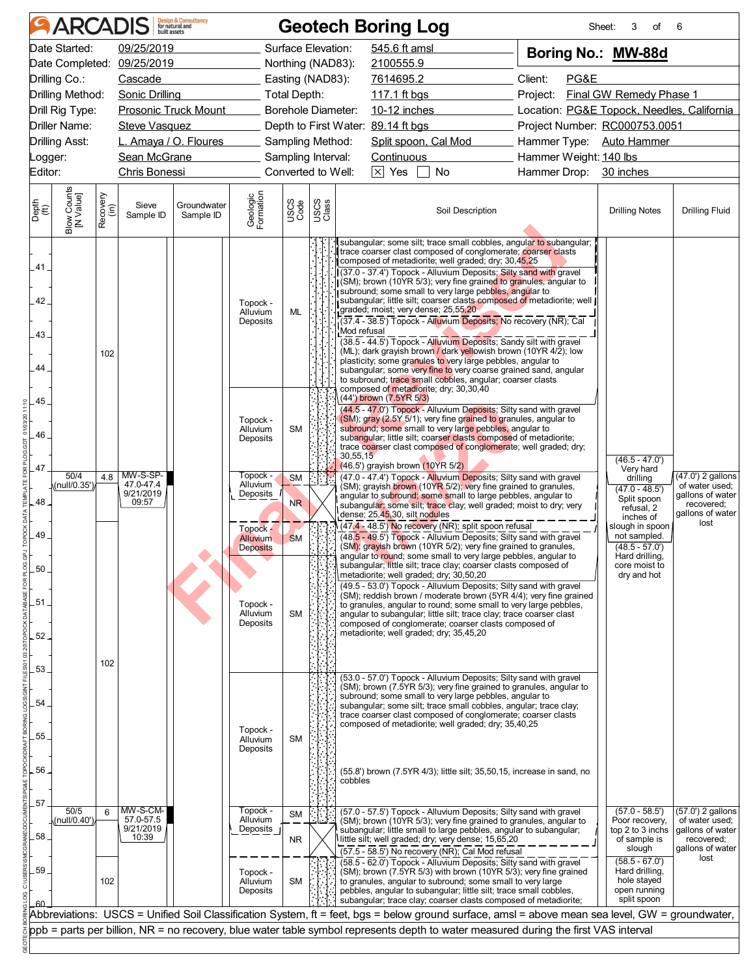|                                                            |                                                                                                                                                                                                                                                                                                        |                  | <b>ARCADIS</b> Design & Consultancy         |                          |                                                                                    |                                          |                                                                                                                                    | <b>Geotech Boring Log</b>                                                                                                                                                                                                                                                                                                                                                                                                                                                                                                                                                                                                                                                                                                                                                                                                                                                                                                                                                           |                                                                                                                                                                                                                   | 3<br>Sheet:<br>οf                                                                                                                                                                                                                                                                                                                                                                                                                                                                                                                                                                                                                        | 6                                                                                                   |                                                              |                                                           |
|------------------------------------------------------------|--------------------------------------------------------------------------------------------------------------------------------------------------------------------------------------------------------------------------------------------------------------------------------------------------------|------------------|---------------------------------------------|--------------------------|------------------------------------------------------------------------------------|------------------------------------------|------------------------------------------------------------------------------------------------------------------------------------|-------------------------------------------------------------------------------------------------------------------------------------------------------------------------------------------------------------------------------------------------------------------------------------------------------------------------------------------------------------------------------------------------------------------------------------------------------------------------------------------------------------------------------------------------------------------------------------------------------------------------------------------------------------------------------------------------------------------------------------------------------------------------------------------------------------------------------------------------------------------------------------------------------------------------------------------------------------------------------------|-------------------------------------------------------------------------------------------------------------------------------------------------------------------------------------------------------------------|------------------------------------------------------------------------------------------------------------------------------------------------------------------------------------------------------------------------------------------------------------------------------------------------------------------------------------------------------------------------------------------------------------------------------------------------------------------------------------------------------------------------------------------------------------------------------------------------------------------------------------------|-----------------------------------------------------------------------------------------------------|--------------------------------------------------------------|-----------------------------------------------------------|
|                                                            | Date Started:<br>09/25/2019<br>Date Completed:<br>09/25/2019<br>Drilling Co.:<br>Cascade<br>Drilling Method:<br>Sonic Drilling<br><b>Prosonic Truck Mount</b><br>Drill Rig Type:<br>Driller Name:<br><b>Steve Vasquez</b><br>L. Amaya / O. Floures<br><b>Drilling Asst:</b><br>Sean McGrane<br>_ogger: |                  |                                             |                          | Total Depth:                                                                       |                                          | Surface Elevation:<br>Northing (NAD83):<br>Easting (NAD83):<br><b>Borehole Diameter:</b><br>Sampling Method:<br>Sampling Interval: | 545.6 ft amsl<br>2100555.9<br>7614695.2<br>10-12 inches<br>Depth to First Water: 89.14 ft bgs<br>Split spoon, Cal Mod<br>Continuous                                                                                                                                                                                                                                                                                                                                                                                                                                                                                                                                                                                                                                                                                                                                                                                                                                                 | Boring No.: MW-88d<br>Client:<br>PG&E<br>Final GW Remedy Phase 1<br>Project:<br>Location: PG&E Topock, Needles, California<br>Project Number: RC000753.0051<br>Hammer Type: Auto Hammer<br>Hammer Weight: 140 lbs |                                                                                                                                                                                                                                                                                                                                                                                                                                                                                                                                                                                                                                          |                                                                                                     |                                                              |                                                           |
| Editor:                                                    |                                                                                                                                                                                                                                                                                                        |                  | Chris Bonessi                               |                          |                                                                                    |                                          | Converted to Well:                                                                                                                 | $\times$ Yes<br>$\Box$ No                                                                                                                                                                                                                                                                                                                                                                                                                                                                                                                                                                                                                                                                                                                                                                                                                                                                                                                                                           | Hammer Drop: 30 inches                                                                                                                                                                                            |                                                                                                                                                                                                                                                                                                                                                                                                                                                                                                                                                                                                                                          |                                                                                                     |                                                              |                                                           |
| Depth<br>$\overset{\small \textsf{(ft)}}{(\textsf{ft})}$   | Blow Counts<br>[N Value]                                                                                                                                                                                                                                                                               | Recovery<br>(in) | Sieve<br>Sample ID                          | Groundwater<br>Sample ID | Geologic<br>Formation                                                              | USCS<br>Code                             | USCS<br>Class                                                                                                                      | Soil Description                                                                                                                                                                                                                                                                                                                                                                                                                                                                                                                                                                                                                                                                                                                                                                                                                                                                                                                                                                    |                                                                                                                                                                                                                   | <b>Drilling Notes</b>                                                                                                                                                                                                                                                                                                                                                                                                                                                                                                                                                                                                                    | <b>Drilling Fluid</b>                                                                               |                                                              |                                                           |
| 41.<br>42.<br>43.<br>44.                                   |                                                                                                                                                                                                                                                                                                        | 102              |                                             |                          | Topock -<br>Alluvium<br>Deposits                                                   | ML                                       |                                                                                                                                    | subangular; some silt; trace small cobbles, angular to subangular;<br>trace coarser clast composed of conglomerate; coarser clasts<br>composed of metadiorite; well graded; dry; 30,45,25<br>(37.0 - 37.4') Topock - Alluvium Deposits; Silty sand with gravel<br>(SM); brown (10YR 5/3); very fine grained to granules, angular to<br>subround; some small to very large pebbles, angular to<br>subangular; little silt; coarser clasts composed of metadiorite; well  <br>graded; moist; very dense; 25,55,20<br>(37.4 - 38.5') Topock - Alluvium Deposits; No recovery (NR); Cal<br>Mod refusal<br>(38.5 - 44.5') Topock - Alluvium Deposits; Sandy silt with gravel<br>(ML); dark grayish brown / dark yellowish brown (10YR 4/2); low<br>plasticity; some granules to very large pebbles, angular to<br>subangular; some very fine to very coarse grained sand, angular<br>to subround; trace small cobbles, angular; coarser clasts<br>composed of metadiorite; dry; 30,30,40 |                                                                                                                                                                                                                   |                                                                                                                                                                                                                                                                                                                                                                                                                                                                                                                                                                                                                                          |                                                                                                     |                                                              |                                                           |
| .45.<br>11:10<br>01/03/20<br>46<br>PLOG.GDT<br>47<br>ATE I | 50/4<br>(null/0.35')                                                                                                                                                                                                                                                                                   |                  | 4.8 MW-S-SP-<br>47.0-47.4<br>9/21/2019      |                          |                                                                                    |                                          | Topock -<br>Alluvium<br>Deposits<br>Topock -<br>Alluvium<br>Deposits                                                               | <b>SM</b><br><b>SM</b>                                                                                                                                                                                                                                                                                                                                                                                                                                                                                                                                                                                                                                                                                                                                                                                                                                                                                                                                                              |                                                                                                                                                                                                                   | (44') brown (7.5YR 5/3)<br>(44.5 - 47.0') Topock - Alluvium Deposits; Silty sand with gravel<br>(SM); gray (2.5Y 5/1); very fine grained to granules, angular to<br>subround; some small to very large pebbles, angular to<br>subangular; little silt; coarser clasts composed of metadiorite;<br>trace coarser clast composed of conglomerate; well graded; dry;<br>30,55,15<br>$(46.5')$ grayish brown $(10$ <sup>YR</sup> 5/2)<br>(47.0 - 47.4') Topock - Alluvium Deposits; Silty sand with gravel<br>(SM); grayish brown (10YR 5/2); very fine grained to granules,<br>angular to subround; some small to large pebbles, angular to |                                                                                                     | $(46.5 - 47.0')$<br>Very hard<br>drilling<br>$(47.0 - 48.5)$ | $(47.0')$ 2 gallons<br>of water used;<br>gallons of water |
| TEMPL<br>48.<br>49<br>레<br>50.<br>FOR PL<br>51<br>52.      |                                                                                                                                                                                                                                                                                                        | 102              | 09:57                                       |                          | Topock -<br><b>Alluvium</b><br><b>Deposits</b><br>Topock -<br>Alluvium<br>Deposits | N <sub>R</sub><br><b>SM</b><br><b>SM</b> |                                                                                                                                    | subangular; some silt; trace clay; well graded; moist to dry; very<br>dense; 25,45,30, silt nodules<br>(47.4 - 48.5') No recovery (NR); split spoon refusal<br>(48.5 - 49.5') Topock - Alluvium Deposits; Silty sand with gravel<br>(SM); gravish brown (10YR 5/2); very fine grained to granules,<br>angular to round; some small to very large pebbles, angular to<br>subangular; little silt; trace clay; coarser clasts composed of<br>metadiorite; well graded; dry; 30,50,20<br>(49.5 - 53.0') Topock - Alluvium Deposits; Silty sand with gravel<br>(SM); reddish brown / moderate brown (5YR 4/4); very fine grained<br>to granules, angular to round; some small to very large pebbles,<br>angular to subangular; little silt; trace clay; trace coarser clast<br>composed of conglomerate; coarser clasts composed of<br>metadiorite; well graded; dry; 35,45,20                                                                                                          |                                                                                                                                                                                                                   | Split spoon<br>refusal, 2<br>inches of<br>slough in spoon<br>not sampled.<br>$(48.5 - 57.0')$<br>Hard drilling,<br>core moist to<br>dry and hot                                                                                                                                                                                                                                                                                                                                                                                                                                                                                          | recovered;<br>gallons of water<br>lost                                                              |                                                              |                                                           |
| 53.<br>54.<br>55<br>56.                                    |                                                                                                                                                                                                                                                                                                        |                  |                                             |                          | Topock -<br>Alluvium<br>Deposits                                                   | <b>SM</b>                                |                                                                                                                                    | (53.0 - 57.0') Topock - Alluvium Deposits; Silty sand with gravel<br>(SM); brown (7.5YR 5/3); very fine grained to granules, angular to<br>subround; some small to very large pebbles, angular to<br>subangular; some silt; trace small cobbles, angular; trace clay;<br>trace coarser clast composed of conglomerate; coarser clasts<br>composed of metadiorite; well graded; dry; 35,40,25<br>(55.8') brown (7.5YR 4/3); little silt; 35,50,15, increase in sand, no<br>cobbles                                                                                                                                                                                                                                                                                                                                                                                                                                                                                                   |                                                                                                                                                                                                                   |                                                                                                                                                                                                                                                                                                                                                                                                                                                                                                                                                                                                                                          |                                                                                                     |                                                              |                                                           |
| 57<br>58<br>59.                                            | 50/5<br>(null/0.40')                                                                                                                                                                                                                                                                                   | 6<br>102         | MW-S-CM-<br>57.0-57.5<br>9/21/2019<br>10:39 |                          | Topock -<br>Alluvium<br>Deposits<br>Topock -<br>Alluvium<br>Deposits               | <b>SM</b><br>NR.<br><b>SM</b>            |                                                                                                                                    | (57.0 - 57.5') Topock - Alluvium Deposits; Silty sand with gravel<br>(SM); brown (10YR 5/3); very fine grained to granules, angular to<br>subangular; little small to large pebbles, angular to subangular;<br>little silt; well graded; dry; very dense; 15,65,20<br>(57.5 - 58.5') No recovery (NR); Cal Mod refusal<br>(58.5 - 62.0') Topock - Alluvium Deposits; Silty sand with gravel<br>(SM); brown (7.5YR 5/3) with brown (10YR 5/3); very fine grained<br>to granules, angular to subround; some small to very large<br>pebbles, angular to subangular; little silt; trace small cobbles,                                                                                                                                                                                                                                                                                                                                                                                  |                                                                                                                                                                                                                   | $(57.0 - 58.5')$<br>Poor recovery,<br>top 2 to 3 inchs<br>of sample is<br>slough<br>$(58.5 - 67.0')$<br>Hard drilling,<br>hole stayed<br>open running                                                                                                                                                                                                                                                                                                                                                                                                                                                                                    | $(57.0')$ 2 gallons<br>of water used;<br>gallons of water<br>recovered;<br>gallons of water<br>lost |                                                              |                                                           |
|                                                            |                                                                                                                                                                                                                                                                                                        |                  |                                             |                          |                                                                                    |                                          |                                                                                                                                    | subangular; trace clay; coarser clasts composed of metadiorite;<br>Abbreviations: USCS = Unified Soil Classification System, ft = feet, bgs = below ground surface, amsl = above mean sea level, GW = groundwater,<br>ppb = parts per billion, NR = no recovery, blue water table symbol represents depth to water measured during the first VAS interval                                                                                                                                                                                                                                                                                                                                                                                                                                                                                                                                                                                                                           |                                                                                                                                                                                                                   | split spoon                                                                                                                                                                                                                                                                                                                                                                                                                                                                                                                                                                                                                              |                                                                                                     |                                                              |                                                           |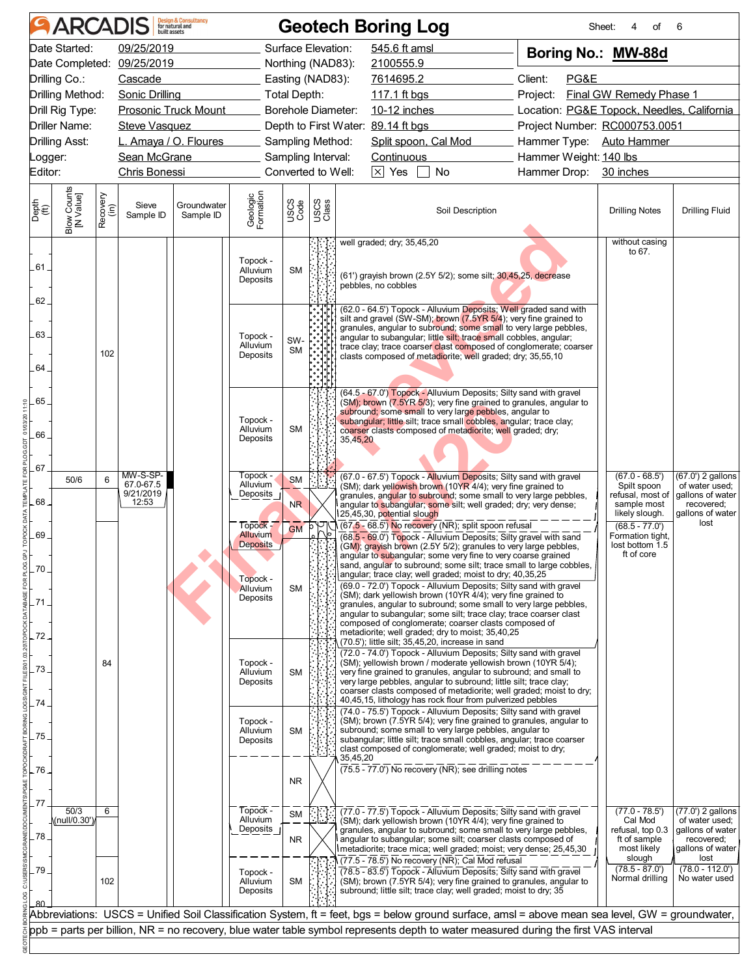|                                                          |                                                                                                                                                                           |                  | <b>ARCADIS</b> Design & Consultancy         |                                       |                                                                             |                                                              |               | <b>Geotech Boring Log</b>                                                                                                                                                                                                                                                                                                                                                                                                                                                                                                                                                                |                                                                              | Sheet:<br>4<br>οf                                                                                                                               | 6                                                                                                   |  |
|----------------------------------------------------------|---------------------------------------------------------------------------------------------------------------------------------------------------------------------------|------------------|---------------------------------------------|---------------------------------------|-----------------------------------------------------------------------------|--------------------------------------------------------------|---------------|------------------------------------------------------------------------------------------------------------------------------------------------------------------------------------------------------------------------------------------------------------------------------------------------------------------------------------------------------------------------------------------------------------------------------------------------------------------------------------------------------------------------------------------------------------------------------------------|------------------------------------------------------------------------------|-------------------------------------------------------------------------------------------------------------------------------------------------|-----------------------------------------------------------------------------------------------------|--|
|                                                          | Date Started:                                                                                                                                                             |                  | 09/25/2019<br>Date Completed: 09/25/2019    |                                       |                                                                             | Surface Elevation:<br>Northing (NAD83):                      |               | 545.6 ft amsl<br>2100555.9                                                                                                                                                                                                                                                                                                                                                                                                                                                                                                                                                               | Boring No.: MW-88d                                                           |                                                                                                                                                 |                                                                                                     |  |
|                                                          | Drilling Co.:<br>Cascade<br>Drilling Method:<br>Sonic Drilling<br>Total Depth:<br><b>Prosonic Truck Mount</b><br>Drill Rig Type:<br>Driller Name:<br><b>Steve Vasquez</b> |                  |                                             |                                       |                                                                             | Easting (NAD83):<br><b>Borehole Diameter:</b>                |               | 7614695.2<br>10-12 inches<br>Depth to First Water: 89.14 ft bgs                                                                                                                                                                                                                                                                                                                                                                                                                                                                                                                          | Client:<br>PG&E<br>Project:                                                  | Final GW Remedy Phase 1<br>Location: PG&E Topock, Needles, California<br>Project Number: RC000753.0051                                          |                                                                                                     |  |
| _ogger:<br>Editor:                                       | <b>Drilling Asst:</b>                                                                                                                                                     |                  | Chris Bonessi                               | L. Amaya / O. Floures<br>Sean McGrane |                                                                             | Sampling Method:<br>Sampling Interval:<br>Converted to Well: |               | Split spoon, Cal Mod<br>Continuous<br>$\boxed{\times}$ Yes $\boxed{\phantom{1}}$<br>$\Box$ No                                                                                                                                                                                                                                                                                                                                                                                                                                                                                            | Hammer Type: Auto Hammer<br>Hammer Weight: 140 lbs<br>Hammer Drop: 30 inches |                                                                                                                                                 |                                                                                                     |  |
| Depth<br>$\overset{\small \textsf{(ft)}}{(\textsf{ft})}$ | Blow Counts<br>[N Value]                                                                                                                                                  | Recovery<br>(in) | Sieve<br>Sample ID                          | Groundwater<br>Sample ID              | Geologic<br>Formation                                                       | USCS<br>Code                                                 | USCS<br>Class | Soil Description                                                                                                                                                                                                                                                                                                                                                                                                                                                                                                                                                                         |                                                                              | <b>Drilling Notes</b>                                                                                                                           | <b>Drilling Fluid</b>                                                                               |  |
| $61 -$                                                   |                                                                                                                                                                           |                  |                                             |                                       | Topock -<br>Alluvium<br>Deposits                                            | <b>SM</b>                                                    |               | well graded; dry; 35,45,20<br>(61') grayish brown (2.5Y 5/2); some silt; 30,45,25, decrease<br>pebbles, no cobbles                                                                                                                                                                                                                                                                                                                                                                                                                                                                       |                                                                              | without casing<br>to 67.                                                                                                                        |                                                                                                     |  |
| $62-$<br>63.<br>64.                                      |                                                                                                                                                                           | 102              |                                             |                                       | Topock -<br>Alluvium<br>Deposits                                            | SW-<br><b>SM</b>                                             |               | (62.0 - 64.5') Topock - Alluvium Deposits; Well graded sand with<br>silt and gravel (SW-SM); brown (7.5YR 5/4); very fine grained to<br>granules, angular to subround; some small to very large pebbles,<br>angular to subangular; little silt; trace small cobbles, angular;<br>trace clay; trace coarser clast composed of conglomerate; coarser<br>clasts composed of metadiorite; well graded; dry; 35,55,10                                                                                                                                                                         |                                                                              |                                                                                                                                                 |                                                                                                     |  |
| 65.<br>01/03/20<br>66.<br>PLOG.GD <sup>-</sup>           |                                                                                                                                                                           |                  |                                             |                                       | Topock -<br>Alluvium<br>Deposits                                            | <b>SM</b>                                                    |               | (64.5 - 67.0') Topock - Alluvium Deposits; Silty sand with gravel<br>(SM); brown (7.5YR 5/3); very fine grained to granules, angular to<br>subround; some small to very large pebbles, angular to<br>subangular; little silt; trace small cobbles, angular; trace clay;<br>coarser clasts composed of metadiorite; well graded; dry;<br>35,45,20                                                                                                                                                                                                                                         |                                                                              |                                                                                                                                                 |                                                                                                     |  |
| 67.<br>68.<br>69                                         | 50/6                                                                                                                                                                      | 6                | MW-S-SP-<br>67.0-67.5<br>9/21/2019<br>12:53 |                                       | Topock -<br>Alluvium<br>Deposits<br>Topock -<br>Alluvium<br><b>Deposits</b> | <b>SM</b><br><b>NR</b><br><b>GM</b>                          |               | (67.0 - 67.5') Topock - Alluvium Deposits; Silty sand with gravel<br>(SM); dark yellowish brown (10YR 4/4); very fine grained to<br>granules, angular to subround; some small to very large pebbles,<br>angular to subangular; some silt; well graded; dry; very dense;<br>25,45,30, potential slough<br>(67.5 - 68.5') No recovery (NR); split spoon refusal<br>(68.5 - 69.0") Topock - Alluvium Deposits; Silty gravel with sand<br>(GM); grayish brown (2.5Y 5/2); granules to very large pebbles,                                                                                    |                                                                              | $(67.0 - 68.5')$<br>Spilt spoon<br>refusal. most of<br>sample most<br>likely slough.<br>$(68.5 - 77.0')$<br>Formation tight.<br>lost bottom 1.5 | (67.0') 2 gallons<br>of water used;<br>gallons of water<br>recovered;<br>gallons of water<br>lost   |  |
| GPJ<br>ŏΙ<br>70<br>FOR PL<br>.71<br>72.                  |                                                                                                                                                                           |                  |                                             |                                       | Topock -<br>Alluvium<br>Deposits                                            | <b>SM</b>                                                    |               | angular to subangular; some very fine to very coarse grained<br>sand, angular to subround; some silt; trace small to large cobbles,<br>angular; trace clay; well graded; moist to dry; 40,35,25<br>(69.0 - 72.0') Topock - Alluvium Deposits; Silty sand with gravel<br>(SM); dark yellowish brown (10YR 4/4); very fine grained to<br>granules, angular to subround; some small to very large pebbles,<br>angular to subangular; some silt; trace clay; trace coarser clast<br>composed of conglomerate; coarser clasts composed of<br>metadiorite; well graded; dry to moist; 35,40,25 |                                                                              | ft of core                                                                                                                                      |                                                                                                     |  |
| 73<br>74.                                                |                                                                                                                                                                           | 84               |                                             |                                       | Topock -<br>Alluvium<br>Deposits                                            | SM                                                           |               | (70.5'); little silt; 35,45,20, increase in sand<br>(72.0 - 74.0') Topock - Alluvium Deposits; Silty sand with gravel<br>(SM); yellowish brown / moderate yellowish brown (10YR 5/4);<br>very fine grained to granules, angular to subround; and small to<br>very large pebbles, angular to subround; little silt; trace clay;<br>coarser clasts composed of metadiorite; well graded; moist to dry;<br>40,45,15, lithology has rock flour from pulverized pebbles                                                                                                                       |                                                                              |                                                                                                                                                 |                                                                                                     |  |
| 75<br>76.                                                |                                                                                                                                                                           |                  |                                             |                                       | Topock -<br>Alluvium<br>Deposits                                            | <b>SM</b>                                                    |               | (74.0 - 75.5') Topock - Alluvium Deposits; Silty sand with gravel<br>(SM); brown (7.5YR 5/4); very fine grained to granules, angular to<br>subround; some small to very large pebbles, angular to<br>subangular; little silt; trace small cobbles, angular; trace coarser<br>clast composed of conglomerate; well graded; moist to dry;<br>35,45,20<br>$(75.5 - 77.0)$ No recovery (NR); see drilling notes                                                                                                                                                                              |                                                                              |                                                                                                                                                 |                                                                                                     |  |
| 77<br>78.                                                | 50/3<br>(null/0.30'),                                                                                                                                                     | 6                |                                             |                                       | Topock -<br>Alluvium<br>Deposits                                            | <b>NR</b><br><b>SM</b><br>NR.                                |               | (77.0 - 77.5') Topock - Alluvium Deposits; Silty sand with gravel<br>(SM); dark yellowish brown (10YR 4/4); very fine grained to<br>granules, angular to subround; some small to very large pebbles,<br>angular to subangular; some silt; coarser clasts composed of<br>metadiorite; trace mica; well graded; moist; very dense; 25,45,30                                                                                                                                                                                                                                                |                                                                              | $(77.0 - 78.5')$<br>Cal Mod<br>refusal, top 0.3<br>ft of sample<br>most likely<br>slough                                                        | $(77.0')$ 2 gallons<br>of water used;<br>gallons of water<br>recovered;<br>gallons of water<br>lost |  |
| 79.                                                      |                                                                                                                                                                           | 102              |                                             |                                       | Topock -<br>Alluvium<br>Deposits                                            | SM                                                           |               | (77.5 - 78.5') No recovery (NR); Cal Mod refusal<br>(78.5 - 83.5') Topock - Alluvium Deposits; Silty sand with gravel<br>(SM); brown (7.5YR 5/4); very fine grained to granules, angular to<br>subround; little silt; trace clay; well graded; moist to dry; 35                                                                                                                                                                                                                                                                                                                          |                                                                              | $(78.5 - 87.0')$<br>Normal drilling                                                                                                             | $(78.0 - 112.0')$<br>No water used                                                                  |  |
|                                                          |                                                                                                                                                                           |                  |                                             |                                       |                                                                             |                                                              |               | Abbreviations: USCS = Unified Soil Classification System, ft = feet, bgs = below ground surface, amsl = above mean sea level, GW = groundwater,<br>ppb = parts per billion, NR = no recovery, blue water table symbol represents depth to water measured during the first VAS interval                                                                                                                                                                                                                                                                                                   |                                                                              |                                                                                                                                                 |                                                                                                     |  |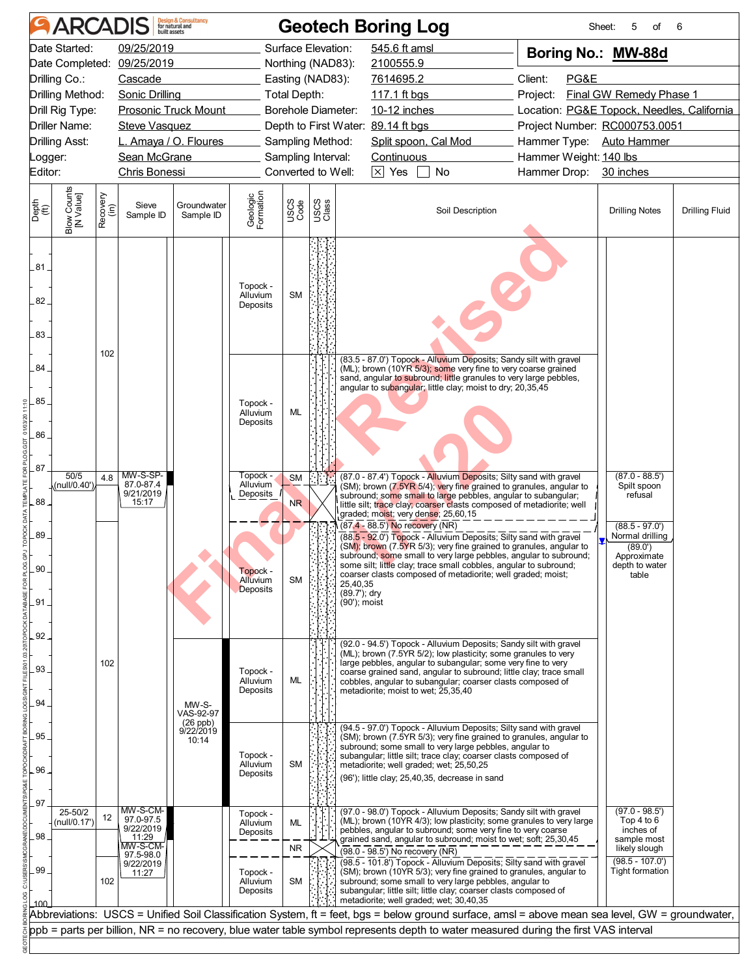|               | <b>ARCADIS</b>          |                  |                                    | <b>Design &amp; Consultancy</b><br>for natural and |                                         |                             |               | <b>Geotech Boring Log</b>                                                                                                                                                                                                                                            |                                                            | 5<br>Sheet:<br>of                              | 6                     |
|---------------|-------------------------|------------------|------------------------------------|----------------------------------------------------|-----------------------------------------|-----------------------------|---------------|----------------------------------------------------------------------------------------------------------------------------------------------------------------------------------------------------------------------------------------------------------------------|------------------------------------------------------------|------------------------------------------------|-----------------------|
|               | Date Started:           |                  | 09/25/2019                         |                                                    |                                         | Surface Elevation:          |               | 545.6 ft amsl                                                                                                                                                                                                                                                        | Boring No.: MW-88d                                         |                                                |                       |
|               |                         |                  | Date Completed: 09/25/2019         |                                                    |                                         | Northing (NAD83):           |               | 2100555.9                                                                                                                                                                                                                                                            |                                                            |                                                |                       |
|               | Drilling Co.:           | Cascade          |                                    |                                                    | Easting (NAD83):                        |                             | 7614695.2     | Client:<br>PG&E                                                                                                                                                                                                                                                      |                                                            |                                                |                       |
|               | Drilling Method:        |                  | Sonic Drilling                     |                                                    |                                         | <b>Total Depth:</b>         |               | 117.1 ft bgs                                                                                                                                                                                                                                                         | <b>Final GW Remedy Phase 1</b><br>Project:                 |                                                |                       |
|               | Drill Rig Type:         |                  | <b>Prosonic Truck Mount</b>        |                                                    |                                         | Borehole Diameter:          |               |                                                                                                                                                                                                                                                                      | 10-12 inches<br>Location: PG&E Topock, Needles, California |                                                |                       |
|               | Driller Name:           |                  | Steve Vasquez                      |                                                    |                                         |                             |               | Depth to First Water: 89.14 ft bgs                                                                                                                                                                                                                                   | Project Number: RC000753.0051                              |                                                |                       |
|               | <b>Drilling Asst:</b>   |                  | L. Amaya / O. Floures              |                                                    |                                         | Sampling Method:            |               | Split spoon, Cal Mod                                                                                                                                                                                                                                                 | Hammer Type: Auto Hammer                                   |                                                |                       |
| _ogger:       |                         |                  | Sean McGrane                       |                                                    |                                         | Sampling Interval:          |               | Continuous                                                                                                                                                                                                                                                           | Hammer Weight: 140 lbs                                     |                                                |                       |
| Editor:       |                         |                  | Chris Bonessi                      |                                                    |                                         | Converted to Well:          |               | $\boxed{\times}$ Yes<br>$\Box$ No                                                                                                                                                                                                                                    | Hammer Drop: 30 inches                                     |                                                |                       |
| Depth<br>(ft) | Blow Counts             | Recovery<br>(in) | Sieve<br>Sample ID                 | Groundwater<br>Sample ID                           | Geologic<br>Formation                   | USCS<br>Code                | USCS<br>Class | Soil Description                                                                                                                                                                                                                                                     |                                                            | <b>Drilling Notes</b>                          | <b>Drilling Fluid</b> |
| $.81 -$       |                         |                  |                                    |                                                    | Topock -<br>Alluvium                    | <b>SM</b>                   |               |                                                                                                                                                                                                                                                                      |                                                            |                                                |                       |
| 82.<br>$83 -$ |                         |                  |                                    |                                                    | Deposits                                |                             |               |                                                                                                                                                                                                                                                                      |                                                            |                                                |                       |
| 84.           |                         | 102              |                                    |                                                    |                                         |                             |               | (83.5 - 87.0') Topock - Alluvium Deposits; Sandy silt with gravel<br>(ML); brown (10YR 5/3); some very fine to very coarse grained                                                                                                                                   |                                                            |                                                |                       |
| .85.          |                         |                  |                                    |                                                    | Topock -                                |                             |               | sand, angular to subround; little granules to very large pebbles,<br>angular to subangular; little clay; moist to dry; 20,35,45                                                                                                                                      |                                                            |                                                |                       |
|               |                         |                  |                                    |                                                    | Alluvium<br>Deposits                    | ML                          |               |                                                                                                                                                                                                                                                                      |                                                            |                                                |                       |
| .86           |                         |                  |                                    |                                                    |                                         |                             |               |                                                                                                                                                                                                                                                                      |                                                            |                                                |                       |
|               |                         |                  |                                    |                                                    |                                         |                             |               |                                                                                                                                                                                                                                                                      |                                                            |                                                |                       |
| .87           | 50/5                    |                  | MW-S-SP-                           |                                                    | Topock -                                |                             |               | (87.0 - 87.4') Topock - Alluvium Deposits; Silty sand with gravel                                                                                                                                                                                                    |                                                            | $(87.0 - 88.5')$                               |                       |
| $88 -$        | (null/0.40')            | 4.8              | 87.0-87.4<br>9/21/2019<br>15:17    |                                                    | Alluvium<br>Deposits                    | <b>SM</b><br>N <sub>R</sub> |               | (SM); brown (7.5YR 5/4); very fine grained to granules, angular to<br>subround; some small to large pebbles, angular to subangular;<br>little silt; trace clay; coarser clasts composed of metadiorite; well<br>graded; moist; very dense; 25,60,15                  |                                                            | Spilt spoon<br>refusal                         |                       |
| 89            |                         |                  |                                    |                                                    |                                         |                             |               | (87.4 - 88.5') No recovery (NR)<br>(88.5 - 92.0") Topock - Alluvium Deposits; Silty sand with gravel<br>(SM); brown (7.5YR 5/3); very fine grained to granules, angular to                                                                                           |                                                            | $(88.5 - 97.0')$<br>Normal drilling<br>(89.0') |                       |
| $90 -$        |                         |                  |                                    |                                                    | Topock -<br>Alluvium<br><b>Deposits</b> | <b>SM</b>                   |               | subround; some small to very large pebbles, angular to subround;<br>some silt; little clay; trace small cobbles, angular to subround;<br>coarser clasts composed of metadiorite; well graded; moist;<br>25,40,35                                                     |                                                            | Approximate<br>depth to water<br>table         |                       |
| .91           |                         |                  |                                    |                                                    |                                         |                             |               | (89.7'); dry<br>(90'); moist                                                                                                                                                                                                                                         |                                                            |                                                |                       |
| $.92 -$       |                         |                  |                                    |                                                    |                                         |                             |               | (92.0 - 94.5') Topock - Alluvium Deposits; Sandy silt with gravel                                                                                                                                                                                                    |                                                            |                                                |                       |
| 93            |                         | 102              |                                    |                                                    | Topock -<br>Alluvium                    | ML                          |               | (ML); brown (7.5YR 5/2); low plasticity; some granules to very<br>large pebbles, angular to subangular; some very fine to very<br>coarse grained sand, angular to subround; little clay; trace small<br>cobbles, angular to subangular; coarser clasts composed of   |                                                            |                                                |                       |
| 94.           |                         |                  |                                    | MW-S-<br>VAS-92-97<br>$(26$ ppb)                   | Deposits                                |                             |               | metadiorite; moist to wet; 25,35,40                                                                                                                                                                                                                                  |                                                            |                                                |                       |
| 95            |                         |                  |                                    | 9/22/2019<br>10:14                                 | Topock -                                |                             |               | (94.5 - 97.0') Topock - Alluvium Deposits; Silty sand with gravel<br>(SM); brown (7.5YR 5/3); very fine grained to granules, angular to<br>subround; some small to very large pebbles, angular to<br>subangular; little silt; trace clay; coarser clasts composed of |                                                            |                                                |                       |
| 96            |                         |                  |                                    |                                                    | Alluvium<br>Deposits                    | <b>SM</b>                   |               | metadiorite; well graded; wet; 25,50,25<br>(96'); little clay; 25,40,35, decrease in sand                                                                                                                                                                            |                                                            |                                                |                       |
| 97            | 25-50/2<br>(null/0.17') | 12               | MW-S-CM-<br>97.0-97.5<br>9/22/2019 |                                                    | Topock -<br>Alluvium                    | ML                          |               | (97.0 - 98.0') Topock - Alluvium Deposits; Sandy silt with gravel<br>(ML); brown (10YR 4/3); low plasticity; some granules to very large                                                                                                                             |                                                            | $(97.0 - 98.5')$<br>Top 4 to 6                 |                       |
| .98           |                         |                  | 11:29<br>MW-S-CM-                  |                                                    | Deposits                                | <b>NR</b>                   |               | pebbles, angular to subround; some very fine to very coarse<br>grained sand, angular to subround; moist to wet; soft; 25,30,45                                                                                                                                       |                                                            | inches of<br>sample most<br>likely slough      |                       |
|               |                         |                  | 97.5-98.0<br>9/22/2019             |                                                    |                                         |                             |               | (98.0 - 98.5') No recovery (NR)<br>(98.5 - 101.8') Topock - Alluvium Deposits; Silty sand with gravel                                                                                                                                                                |                                                            | $(98.5 - 107.0')$                              |                       |
| .99.          |                         |                  | 11:27                              |                                                    | Topock -<br>Alluvium                    | <b>SM</b>                   |               | (SM); brown (10YR 5/3); very fine grained to granules, angular to<br>subround; some small to very large pebbles, angular to                                                                                                                                          |                                                            | Tight formation                                |                       |
|               |                         | 102              |                                    |                                                    | Deposits                                |                             |               | subangular; little silt; little clay; coarser clasts composed of                                                                                                                                                                                                     |                                                            |                                                |                       |
|               |                         |                  |                                    |                                                    |                                         |                             |               | metadiorite; well graded; wet; 30,40,35<br>Abbreviations: USCS = Unified Soil Classification System, ft = feet, bgs = below ground surface, amsl = above mean sea level, GW = groundwater,                                                                           |                                                            |                                                |                       |
|               |                         |                  |                                    |                                                    |                                         |                             |               | ppb = parts per billion, NR = no recovery, blue water table symbol represents depth to water measured during the first VAS interval                                                                                                                                  |                                                            |                                                |                       |
|               |                         |                  |                                    |                                                    |                                         |                             |               |                                                                                                                                                                                                                                                                      |                                                            |                                                |                       |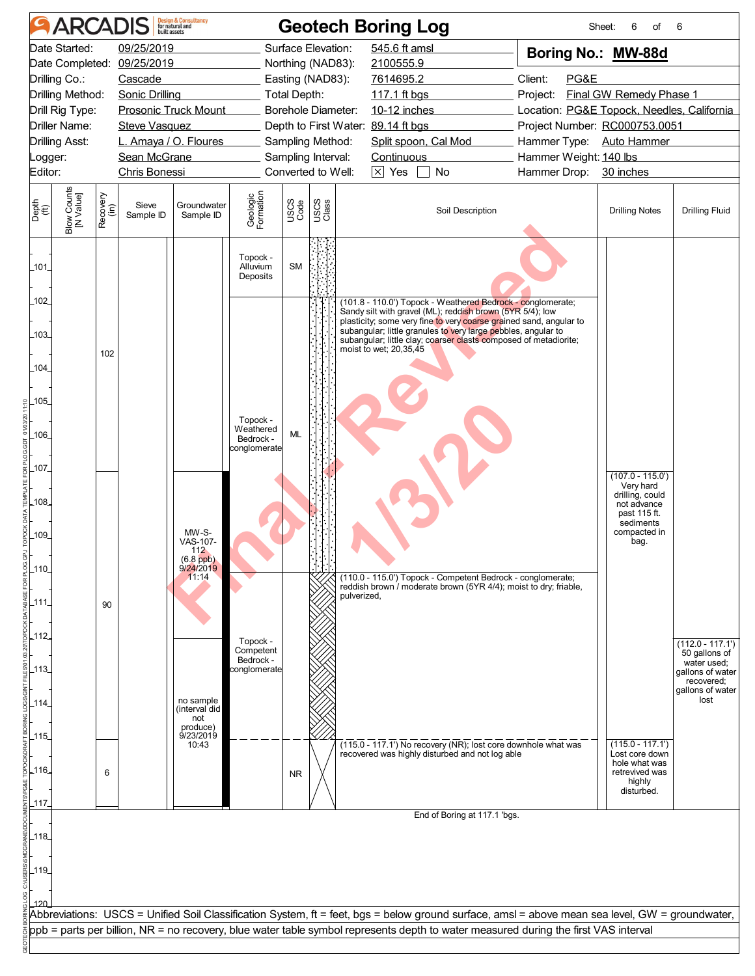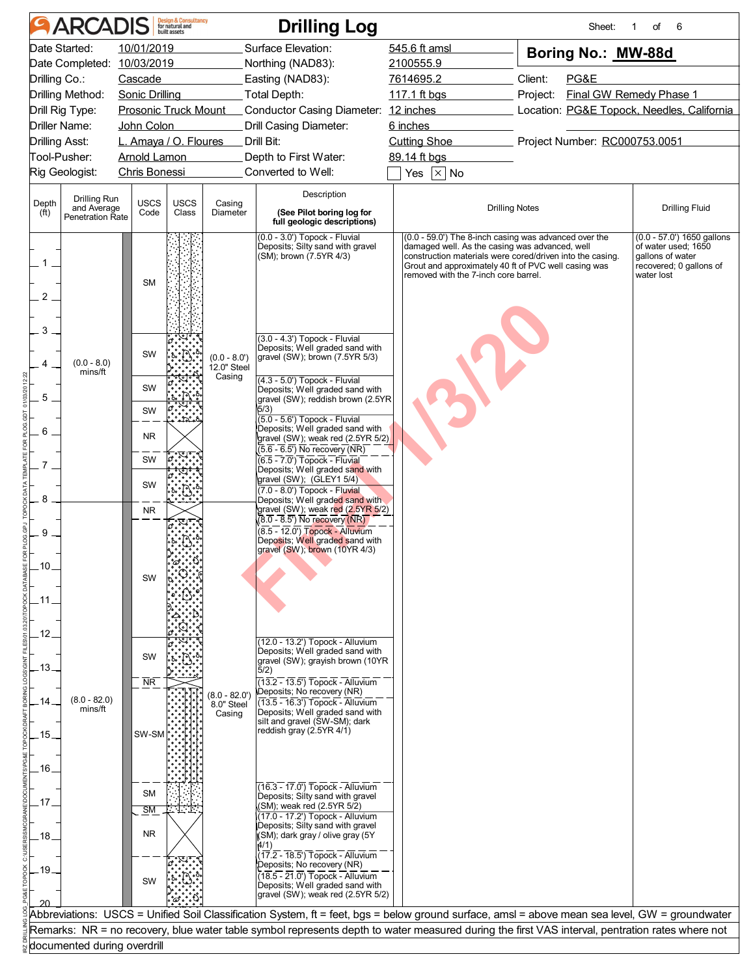|                            | <b>ARCADIS</b>                         |                                               | <b>Design &amp; Consultancy</b><br>for natural and<br>built assets |                                        | <b>Drilling Log</b>                                                                                                                                                                                                |                                                                                                                                                                                                                                                                      | Sheet:                                                                                   | 1<br>οf<br>6                                                                                                     |  |
|----------------------------|----------------------------------------|-----------------------------------------------|--------------------------------------------------------------------|----------------------------------------|--------------------------------------------------------------------------------------------------------------------------------------------------------------------------------------------------------------------|----------------------------------------------------------------------------------------------------------------------------------------------------------------------------------------------------------------------------------------------------------------------|------------------------------------------------------------------------------------------|------------------------------------------------------------------------------------------------------------------|--|
|                            | Date Started:                          | 10/01/2019                                    |                                                                    |                                        | Surface Elevation:                                                                                                                                                                                                 | 545.6 ft amsl                                                                                                                                                                                                                                                        | Boring No.: MW-88d                                                                       |                                                                                                                  |  |
|                            | Date Completed: 10/03/2019             |                                               |                                                                    |                                        | Northing (NAD83):                                                                                                                                                                                                  | 2100555.9                                                                                                                                                                                                                                                            |                                                                                          |                                                                                                                  |  |
| Drilling Co.:              |                                        | Cascade                                       |                                                                    |                                        | Easting (NAD83):                                                                                                                                                                                                   | 7614695.2                                                                                                                                                                                                                                                            | Client:<br>PG&E                                                                          |                                                                                                                  |  |
|                            | Drilling Method:<br>Drill Rig Type:    | Sonic Drilling<br><b>Prosonic Truck Mount</b> |                                                                    |                                        | Total Depth:<br>Conductor Casing Diameter: 12 inches                                                                                                                                                               | 117.1 ft bgs                                                                                                                                                                                                                                                         | <b>Final GW Remedy Phase 1</b><br>Project:<br>Location: PG&E Topock, Needles, California |                                                                                                                  |  |
|                            | Driller Name:                          | John Colon                                    |                                                                    |                                        | Drill Casing Diameter:                                                                                                                                                                                             | 6 inches                                                                                                                                                                                                                                                             |                                                                                          |                                                                                                                  |  |
|                            | <b>Drilling Asst:</b>                  | L. Amaya / O. Floures                         |                                                                    |                                        | Drill Bit:                                                                                                                                                                                                         | <b>Cutting Shoe</b>                                                                                                                                                                                                                                                  | Project Number: RC000753.0051                                                            |                                                                                                                  |  |
|                            | Tool-Pusher:                           | <b>Arnold Lamon</b>                           |                                                                    |                                        | Depth to First Water:                                                                                                                                                                                              | 89.14 ft bgs                                                                                                                                                                                                                                                         |                                                                                          |                                                                                                                  |  |
|                            | Rig Geologist:                         | Chris Bonessi                                 |                                                                    |                                        | Converted to Well:                                                                                                                                                                                                 | Yes $\overline{\times}$ No                                                                                                                                                                                                                                           |                                                                                          |                                                                                                                  |  |
|                            | Drilling Run                           |                                               |                                                                    |                                        | Description                                                                                                                                                                                                        |                                                                                                                                                                                                                                                                      |                                                                                          |                                                                                                                  |  |
| Depth<br>(f <sup>t</sup> ) | and Average<br><b>Penetration Rate</b> | <b>USCS</b><br>Code                           | <b>USCS</b><br>Casing<br>Class<br>Diameter                         |                                        | (See Pilot boring log for<br>full geologic descriptions)                                                                                                                                                           | <b>Drilling Notes</b>                                                                                                                                                                                                                                                |                                                                                          | <b>Drilling Fluid</b>                                                                                            |  |
| 2                          |                                        | <b>SM</b>                                     |                                                                    |                                        | (0.0 - 3.0') Topock - Fluvial<br>Deposits; Silty sand with gravel<br>(SM); brown (7.5YR 4/3)                                                                                                                       | (0.0 - 59.0') The 8-inch casing was advanced over the<br>damaged well. As the casing was advanced, well<br>construction materials were cored/driven into the casing.<br>Grout and approximately 40 ft of PVC well casing was<br>removed with the 7-inch core barrel. |                                                                                          | $(0.0 - 57.0')$ 1650 gallons<br>of water used; 1650<br>gallons of water<br>recovered; 0 gallons of<br>water lost |  |
| 3                          | $(0.0 - 8.0)$                          | SW                                            |                                                                    | $(0.0 - 8.0)$<br>12.0" Steel<br>Casing | (3.0 - 4.3') Topock - Fluvial<br>Deposits; Well graded sand with<br>gravel (SW); brown (7.5YR 5/3)                                                                                                                 |                                                                                                                                                                                                                                                                      |                                                                                          |                                                                                                                  |  |
|                            | mins/ft                                | SW                                            |                                                                    |                                        | (4.3 - 5.0') Topock - Fluvial<br>Deposits; Well graded sand with                                                                                                                                                   |                                                                                                                                                                                                                                                                      |                                                                                          |                                                                                                                  |  |
| 5                          |                                        | SW                                            |                                                                    |                                        | gravel (SW); reddish brown (2.5YR<br>5/3)                                                                                                                                                                          |                                                                                                                                                                                                                                                                      |                                                                                          |                                                                                                                  |  |
| 6                          |                                        | <b>NR</b>                                     |                                                                    |                                        | $(5.0 - 5.6')$ Topock - Fluvial<br>Deposits; Well graded sand with<br>gravel (SW); weak red (2.5YR 5/2)                                                                                                            |                                                                                                                                                                                                                                                                      |                                                                                          |                                                                                                                  |  |
|                            |                                        | SW                                            |                                                                    |                                        | $(5.6 - 6.5)$ No recovery (NR)<br>$(6.5 - 7.0')$ Topock - Fluvial                                                                                                                                                  |                                                                                                                                                                                                                                                                      |                                                                                          |                                                                                                                  |  |
|                            |                                        |                                               |                                                                    |                                        | Deposits; Well graded sand with<br>gravel (SW); (GLEY1 5/4)                                                                                                                                                        |                                                                                                                                                                                                                                                                      |                                                                                          |                                                                                                                  |  |
| 8                          |                                        | SW                                            |                                                                    |                                        | $(7.0 - 8.0')$ Topock - Fluvial<br>Deposits; Well graded sand with                                                                                                                                                 |                                                                                                                                                                                                                                                                      |                                                                                          |                                                                                                                  |  |
|                            |                                        | <b>NR</b>                                     |                                                                    |                                        | gravel (SW); weak red (2.5YR 5/2)<br>$(8.0 - 8.5)$ No recovery (NR)                                                                                                                                                |                                                                                                                                                                                                                                                                      |                                                                                          |                                                                                                                  |  |
| 9<br>10<br>12.             |                                        | SW                                            |                                                                    |                                        | $(8.5 - 12.0)$ Topock - Alluvium<br>Deposits; Well graded sand with<br>gravel (SW); brown (10YR 4/3)                                                                                                               |                                                                                                                                                                                                                                                                      |                                                                                          |                                                                                                                  |  |
| .13.                       |                                        | SW                                            |                                                                    |                                        | (12.0 - 13.2') Topock - Alluvium<br>Deposits; Well graded sand with<br>gravel (SW); grayish brown (10YR)<br>5/2)                                                                                                   |                                                                                                                                                                                                                                                                      |                                                                                          |                                                                                                                  |  |
| .15.<br>.16.               | $(8.0 - 82.0)$<br>mins/ft              | $\overline{\text{NR}}$<br>SW-SM               |                                                                    | $(8.0 - 82.0)$<br>8.0" Steel<br>Casing | $(13.2 - 13.5)$ Topock - Alluvium<br>Deposits; No recovery (NR)<br>$(13.5 - 16.3)$ Topock - Alluvium<br>Deposits; Well graded sand with<br>silt and gravel (SW-SM); dark<br>reddish gray $(2.5YR \, 4/1)$          |                                                                                                                                                                                                                                                                      |                                                                                          |                                                                                                                  |  |
| .17<br>.18.                |                                        | <b>SM</b><br><b>SM</b><br><b>NR</b>           | a di S                                                             |                                        | $(16.3 - 17.0)$ Topock - Alluvium<br>Deposits; Silty sand with gravel<br>(SM); weak red (2.5YR $5/2$ )<br>(17.0 - 17.2') Topock - Alluvium<br>Deposits; Silty sand with gravel<br>(SM); dark gray / olive gray (5Y |                                                                                                                                                                                                                                                                      |                                                                                          |                                                                                                                  |  |
| .19.                       |                                        | SW                                            |                                                                    |                                        | 4/1)<br>$(17.2 - 18.5)$ Topock - Alluvium<br>Deposits; No recovery (NR)<br>$(18.5 - 21.0)$ Topock - Alluvium<br>Deposits; Well graded sand with<br>gravel (SW); weak red (2.5YR 5/2)                               |                                                                                                                                                                                                                                                                      |                                                                                          |                                                                                                                  |  |
|                            |                                        |                                               |                                                                    |                                        | Abbreviations: USCS = Unified Soil Classification System, ft = feet, bgs = below ground surface, amsl = above mean sea level, GW = groundwater                                                                     |                                                                                                                                                                                                                                                                      |                                                                                          |                                                                                                                  |  |
|                            |                                        |                                               |                                                                    |                                        | Remarks: NR = no recovery, blue water table symbol represents depth to water measured during the first VAS interval, pentration rates where not                                                                    |                                                                                                                                                                                                                                                                      |                                                                                          |                                                                                                                  |  |
|                            | documented during overdrill            |                                               |                                                                    |                                        |                                                                                                                                                                                                                    |                                                                                                                                                                                                                                                                      |                                                                                          |                                                                                                                  |  |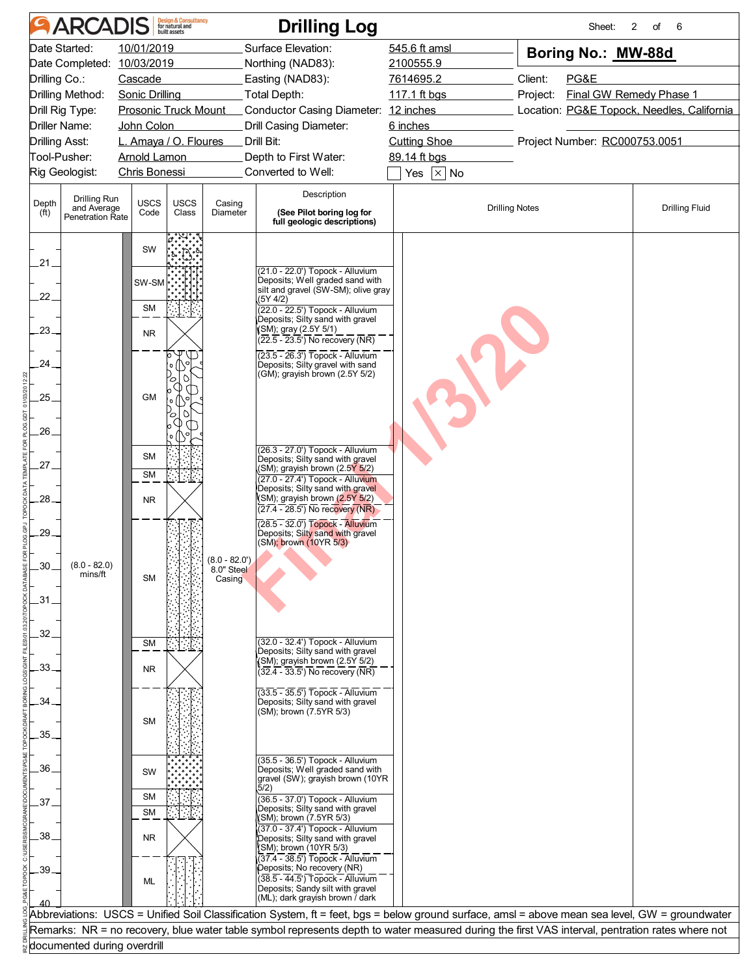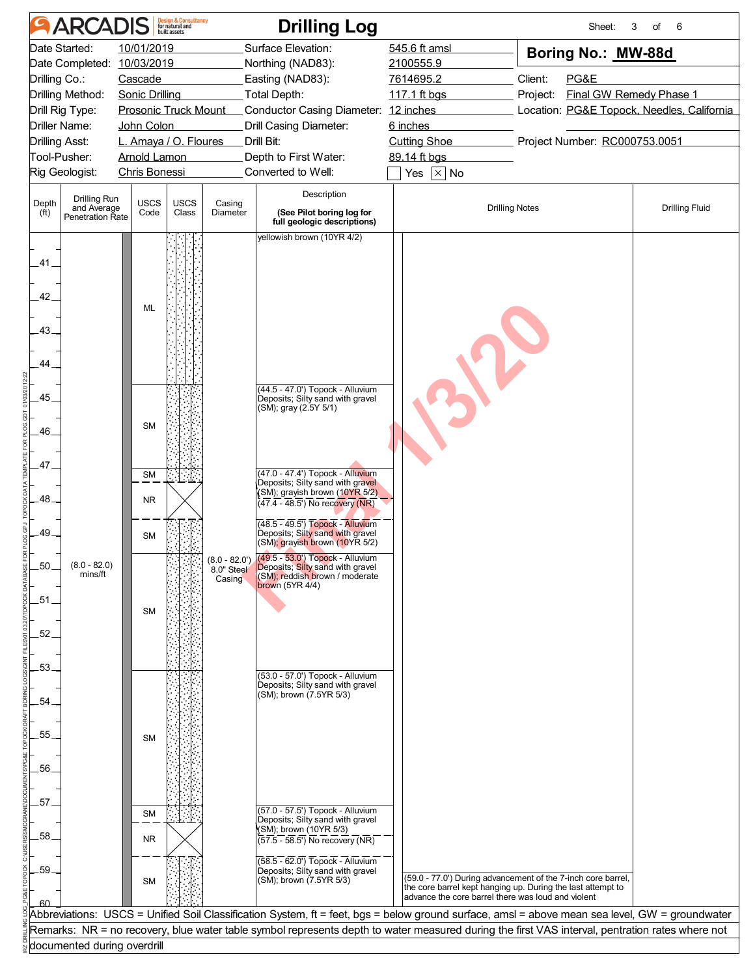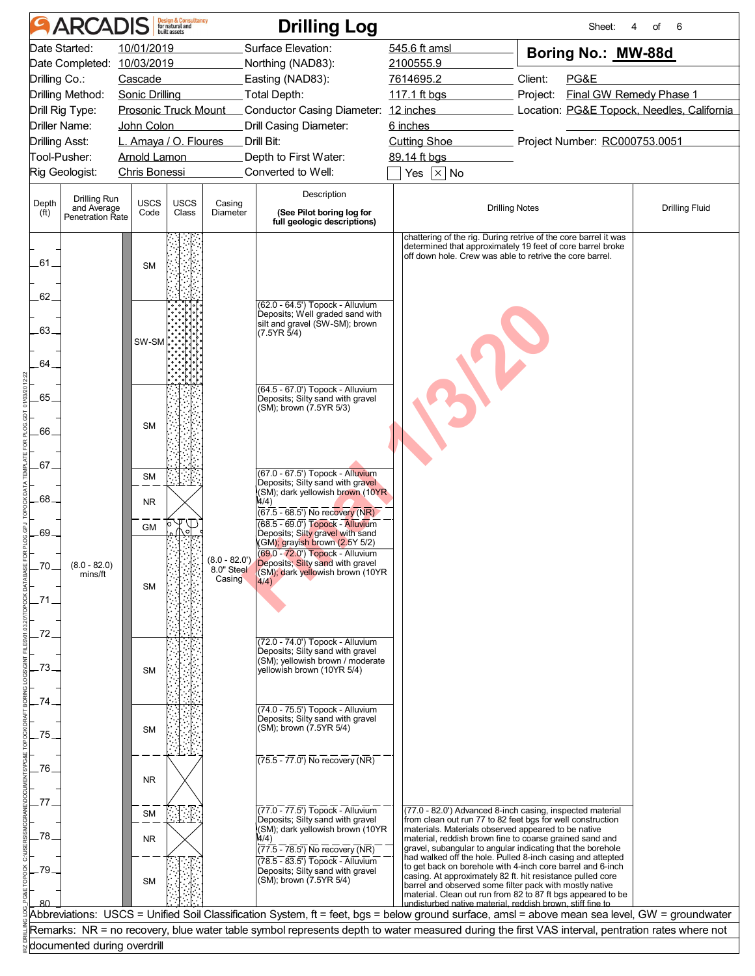|                            | <b>ARCADIS</b>                      |                                                      | <b>Design &amp; Consultancy</b><br>for natural and<br>built assets |                                         | <b>Drilling Log</b>                                                                                                                             |                                                                                                                       | Sheet:<br>4                                                                                                                   | of<br>6               |  |
|----------------------------|-------------------------------------|------------------------------------------------------|--------------------------------------------------------------------|-----------------------------------------|-------------------------------------------------------------------------------------------------------------------------------------------------|-----------------------------------------------------------------------------------------------------------------------|-------------------------------------------------------------------------------------------------------------------------------|-----------------------|--|
|                            | Date Started:                       | 10/01/2019                                           |                                                                    |                                         | Surface Elevation:                                                                                                                              | 545.6 ft amsl                                                                                                         | Boring No.: MW-88d                                                                                                            |                       |  |
|                            | Date Completed: 10/03/2019          |                                                      |                                                                    |                                         | Northing (NAD83):                                                                                                                               | 2100555.9                                                                                                             |                                                                                                                               |                       |  |
| Drilling Co.:              |                                     | Cascade                                              |                                                                    |                                         | Easting (NAD83):                                                                                                                                | 7614695.2                                                                                                             | Client:<br>PG&E<br><b>Final GW Remedy Phase 1</b><br>Project:                                                                 |                       |  |
|                            | Drilling Method:<br>Drill Rig Type: | <b>Sonic Drilling</b><br><b>Prosonic Truck Mount</b> |                                                                    |                                         | Total Depth:<br>Conductor Casing Diameter: 12 inches                                                                                            | 117.1 ft bgs                                                                                                          |                                                                                                                               |                       |  |
|                            | Driller Name:                       | John Colon                                           |                                                                    |                                         | Drill Casing Diameter:                                                                                                                          | 6 inches                                                                                                              | Location: PG&E Topock, Needles, California                                                                                    |                       |  |
|                            | Drilling Asst:                      | L. Amaya / O. Floures                                |                                                                    |                                         | Drill Bit:                                                                                                                                      | <b>Cutting Shoe</b>                                                                                                   | Project Number: RC000753.0051                                                                                                 |                       |  |
|                            | Tool-Pusher:                        | <b>Arnold Lamon</b>                                  |                                                                    |                                         | Depth to First Water:                                                                                                                           | 89.14 ft bgs                                                                                                          |                                                                                                                               |                       |  |
|                            | Rig Geologist:                      | <b>Chris Bonessi</b>                                 |                                                                    |                                         | Converted to Well:                                                                                                                              | Yes $\boxed{\times}$ No                                                                                               |                                                                                                                               |                       |  |
|                            | Drilling Run                        |                                                      |                                                                    |                                         | Description                                                                                                                                     |                                                                                                                       |                                                                                                                               |                       |  |
| Depth<br>(f <sup>t</sup> ) | and Average<br>Penetration Rate     | <b>USCS</b><br>Code                                  | <b>USCS</b><br>Casing<br>Class<br>Diameter                         |                                         | (See Pilot boring log for<br>full geologic descriptions)                                                                                        | <b>Drilling Notes</b>                                                                                                 |                                                                                                                               | <b>Drilling Fluid</b> |  |
| .61.                       |                                     | <b>SM</b>                                            |                                                                    |                                         |                                                                                                                                                 | off down hole. Crew was able to retrive the core barrel.                                                              | chattering of the rig. During retrive of the core barrel it was<br>determined that approximately 19 feet of core barrel broke |                       |  |
| 62                         |                                     |                                                      |                                                                    |                                         | (62.0 - 64.5') Topock - Alluvium                                                                                                                |                                                                                                                       |                                                                                                                               |                       |  |
| $.63 -$<br>.64             |                                     | SW-SM                                                |                                                                    |                                         | Deposits; Well graded sand with<br>silt and gravel (SW-SM); brown<br>(7.5YR 5/4)                                                                |                                                                                                                       |                                                                                                                               |                       |  |
|                            |                                     |                                                      |                                                                    |                                         | (64.5 - 67.0') Topock - Alluvium                                                                                                                |                                                                                                                       |                                                                                                                               |                       |  |
| .65.                       |                                     |                                                      |                                                                    |                                         | Deposits; Silty sand with gravel<br>(SM); brown (7.5YR 5/3)                                                                                     |                                                                                                                       |                                                                                                                               |                       |  |
|                            |                                     | <b>SM</b>                                            |                                                                    |                                         |                                                                                                                                                 |                                                                                                                       |                                                                                                                               |                       |  |
| .66                        |                                     |                                                      |                                                                    |                                         |                                                                                                                                                 |                                                                                                                       |                                                                                                                               |                       |  |
| .67.                       |                                     | <b>SM</b>                                            |                                                                    |                                         | (67.0 - 67.5') Topock - Alluvium                                                                                                                |                                                                                                                       |                                                                                                                               |                       |  |
| .68                        |                                     | <b>NR</b>                                            |                                                                    |                                         | Deposits; Silty sand with gravel<br>(SM); dark yellowish brown (10YR)<br>4/4)                                                                   |                                                                                                                       |                                                                                                                               |                       |  |
|                            |                                     |                                                      |                                                                    |                                         | $(67.5 - 68.5)$ No recovery (NR)                                                                                                                |                                                                                                                       |                                                                                                                               |                       |  |
| .69.                       |                                     | <b>GM</b>                                            |                                                                    |                                         | $(68.5 - 69.0)$ Topock - Alluvium<br>Deposits; Silty gravel with sand<br>(GM); grayish brown (2.5Y 5/2)                                         |                                                                                                                       |                                                                                                                               |                       |  |
| 70                         | $(8.0 - 82.0)$<br>mins/ft           |                                                      |                                                                    | $(8.0 - 82.0')$<br>8.0" Steel<br>Casing | (69.0 - 72.0') Topock - Alluvium<br>Deposits; Silty sand with gravel<br>(SM); dark yellowish brown (10YR<br>$ 4/4\rangle$                       |                                                                                                                       |                                                                                                                               |                       |  |
|                            |                                     | <b>SM</b>                                            |                                                                    |                                         |                                                                                                                                                 |                                                                                                                       |                                                                                                                               |                       |  |
| 72                         |                                     |                                                      |                                                                    |                                         |                                                                                                                                                 |                                                                                                                       |                                                                                                                               |                       |  |
|                            |                                     |                                                      |                                                                    |                                         | (72.0 - 74.0') Topock - Alluvium<br>Deposits; Silty sand with gravel<br>(SM); yellowish brown / moderate                                        |                                                                                                                       |                                                                                                                               |                       |  |
| 73                         |                                     | <b>SM</b>                                            |                                                                    |                                         | yellowish brown (10YR 5/4)                                                                                                                      |                                                                                                                       |                                                                                                                               |                       |  |
| 74                         |                                     |                                                      |                                                                    |                                         |                                                                                                                                                 |                                                                                                                       |                                                                                                                               |                       |  |
|                            |                                     | <b>SM</b>                                            |                                                                    |                                         | (74.0 - 75.5') Topock - Alluvium<br>Deposits; Silty sand with gravel<br>(SM); brown (7.5YR 5/4)                                                 |                                                                                                                       |                                                                                                                               |                       |  |
| .75                        |                                     |                                                      |                                                                    |                                         |                                                                                                                                                 |                                                                                                                       |                                                                                                                               |                       |  |
| .76.                       |                                     |                                                      |                                                                    |                                         | $(75.5 - 77.0)$ No recovery (NR)                                                                                                                |                                                                                                                       |                                                                                                                               |                       |  |
|                            |                                     | NR.                                                  |                                                                    |                                         |                                                                                                                                                 |                                                                                                                       |                                                                                                                               |                       |  |
| .77                        |                                     | <b>SM</b>                                            |                                                                    |                                         | (77.0 - 77.5') Topock - Alluvium                                                                                                                |                                                                                                                       | (77.0 - 82.0') Advanced 8-inch casing, inspected material                                                                     |                       |  |
|                            |                                     |                                                      |                                                                    |                                         | Deposits; Silty sand with gravel<br>(SM); dark yellowish brown (10YR                                                                            | from clean out run 77 to 82 feet bgs for well construction<br>materials. Materials observed appeared to be native     |                                                                                                                               |                       |  |
| .78                        |                                     | NR.                                                  |                                                                    |                                         | 4/4)<br>(77.5 - 78.5') No recovery (NR)                                                                                                         | material, reddish brown fine to coarse grained sand and<br>gravel, subangular to angular indicating that the borehole |                                                                                                                               |                       |  |
| .79                        |                                     | <b>SM</b>                                            |                                                                    |                                         | $(78.5 - 83.5)$ Topock - Alluvium<br>Deposits; Silty sand with gravel<br>(SM); brown (7.5YR 5/4)                                                | casing. At approximately 82 ft. hit resistance pulled core<br>barrel and observed some filter pack with mostly native | had walked off the hole. Pulled 8-inch casing and attepted<br>to get back on borehole with 4-inch core barrel and 6-inch      |                       |  |
| 80                         |                                     |                                                      |                                                                    |                                         |                                                                                                                                                 | undisturbed native material, reddish brown, stiff fine to                                                             | material. Clean out run from 82 to 87 ft bgs appeared to be                                                                   |                       |  |
|                            |                                     |                                                      |                                                                    |                                         | Abbreviations: USCS = Unified Soil Classification System, ft = feet, bgs = below ground surface, amsl = above mean sea level, GW = groundwater  |                                                                                                                       |                                                                                                                               |                       |  |
|                            |                                     |                                                      |                                                                    |                                         | Remarks: NR = no recovery, blue water table symbol represents depth to water measured during the first VAS interval, pentration rates where not |                                                                                                                       |                                                                                                                               |                       |  |
|                            | documented during overdrill         |                                                      |                                                                    |                                         |                                                                                                                                                 |                                                                                                                       |                                                                                                                               |                       |  |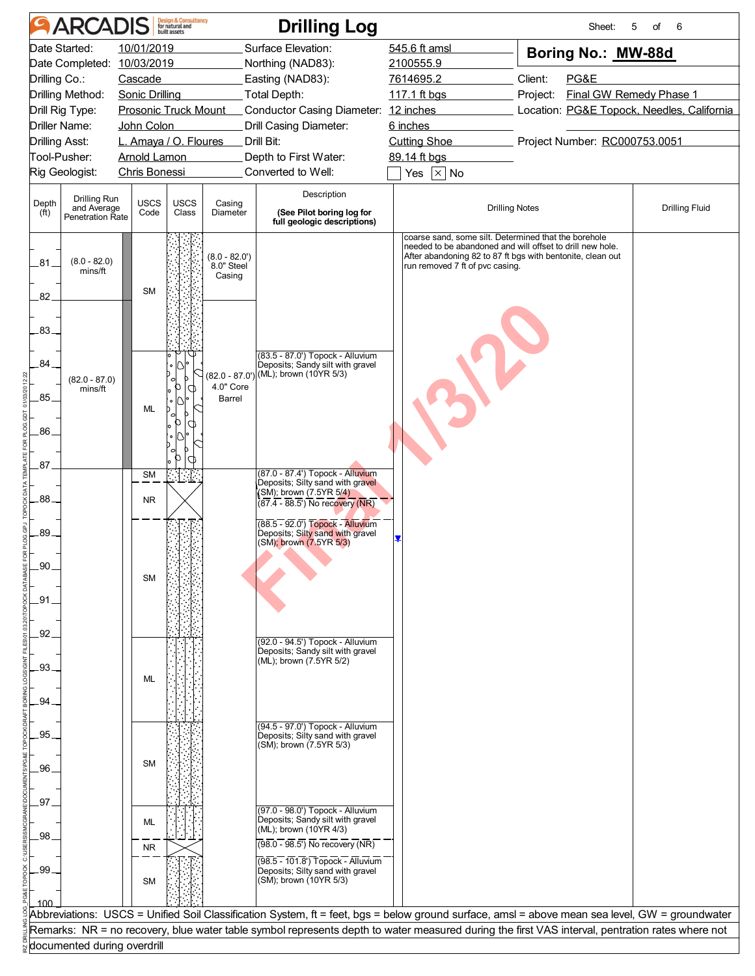|                   | ARCADIS                                        |                       | <b>Design &amp; Consultancy</b><br>for natural and<br>built assets |                               | <b>Drilling Log</b>                                                                                                                             |                                                                                                                   | Sheet:                                                     | 5<br>of<br>6          |
|-------------------|------------------------------------------------|-----------------------|--------------------------------------------------------------------|-------------------------------|-------------------------------------------------------------------------------------------------------------------------------------------------|-------------------------------------------------------------------------------------------------------------------|------------------------------------------------------------|-----------------------|
|                   | Date Started:                                  | 10/01/2019            |                                                                    |                               | Surface Elevation:                                                                                                                              | 545.6 ft amsl                                                                                                     | Boring No.: MW-88d                                         |                       |
| Drilling Co.:     | Date Completed: 10/03/2019                     | Cascade               |                                                                    |                               | Northing (NAD83):<br>Easting (NAD83):                                                                                                           | 2100555.9<br>7614695.2                                                                                            | Client:<br>PG&E                                            |                       |
|                   | Drilling Method:                               | <b>Sonic Drilling</b> |                                                                    |                               | Total Depth:                                                                                                                                    | 117.1 ft bgs                                                                                                      | Final GW Remedy Phase 1                                    |                       |
|                   | Drill Rig Type:<br><b>Prosonic Truck Mount</b> |                       |                                                                    |                               | Conductor Casing Diameter: 12 inches                                                                                                            |                                                                                                                   | Project:<br>Location: PG&E Topock, Needles, California     |                       |
|                   | Driller Name:                                  | John Colon            |                                                                    |                               | Drill Casing Diameter:                                                                                                                          | 6 inches                                                                                                          |                                                            |                       |
|                   | Drilling Asst:                                 |                       | L. Amaya / O. Floures                                              |                               | Drill Bit:                                                                                                                                      | <b>Cutting Shoe</b>                                                                                               | Project Number: RC000753.0051                              |                       |
|                   | Tool-Pusher:                                   | <b>Arnold Lamon</b>   |                                                                    |                               | Depth to First Water:                                                                                                                           | 89.14 ft bgs                                                                                                      |                                                            |                       |
|                   | Rig Geologist:                                 | <b>Chris Bonessi</b>  |                                                                    |                               | Converted to Well:                                                                                                                              | Yes $\boxed{\times}$ No                                                                                           |                                                            |                       |
| Depth             | Drilling Run                                   | USCS                  | <b>USCS</b>                                                        | Casing                        | Description                                                                                                                                     |                                                                                                                   |                                                            |                       |
| (f <sup>t</sup> ) | and Average<br><b>Penetration Rate</b>         | Code                  | Class                                                              | Diameter                      | (See Pilot boring log for<br>full geologic descriptions)                                                                                        |                                                                                                                   | <b>Drilling Notes</b>                                      | <b>Drilling Fluid</b> |
|                   |                                                |                       |                                                                    |                               |                                                                                                                                                 | coarse sand, some silt. Determined that the borehole<br>needed to be abandoned and will offset to drill new hole. |                                                            |                       |
| .81               | $(8.0 - 82.0)$                                 |                       |                                                                    | $(8.0 - 82.0')$<br>8.0" Steel |                                                                                                                                                 | run removed 7 ft of pvc casing.                                                                                   | After abandoning 82 to 87 ft bgs with bentonite, clean out |                       |
|                   | mins/ft                                        |                       |                                                                    | Casing                        |                                                                                                                                                 |                                                                                                                   |                                                            |                       |
| 82 <sub>1</sub>   |                                                | <b>SM</b>             |                                                                    |                               |                                                                                                                                                 |                                                                                                                   |                                                            |                       |
|                   |                                                |                       |                                                                    |                               |                                                                                                                                                 |                                                                                                                   |                                                            |                       |
| .83.              |                                                |                       |                                                                    |                               |                                                                                                                                                 |                                                                                                                   |                                                            |                       |
|                   |                                                |                       |                                                                    |                               | (83.5 - 87.0') Topock - Alluvium                                                                                                                |                                                                                                                   |                                                            |                       |
| .84.              |                                                |                       |                                                                    |                               | Deposits; Sandy silt with gravel<br>(82.0 - 87.0') (ML); brown (10YR 5/3)                                                                       |                                                                                                                   |                                                            |                       |
|                   | $(82.0 - 87.0)$<br>mins/ft                     |                       | D<br>O<br>Þ                                                        | 4.0" Core                     |                                                                                                                                                 |                                                                                                                   |                                                            |                       |
| .85.              |                                                | ML                    |                                                                    | Barrel                        |                                                                                                                                                 |                                                                                                                   |                                                            |                       |
|                   |                                                |                       | П                                                                  |                               |                                                                                                                                                 |                                                                                                                   |                                                            |                       |
| .86.              |                                                |                       |                                                                    |                               |                                                                                                                                                 |                                                                                                                   |                                                            |                       |
|                   |                                                |                       | a                                                                  |                               |                                                                                                                                                 |                                                                                                                   |                                                            |                       |
| .87.              |                                                | <b>SM</b>             |                                                                    |                               | (87.0 - 87.4') Topock - Alluvium                                                                                                                |                                                                                                                   |                                                            |                       |
| .88               |                                                |                       |                                                                    |                               | Deposits; Silty sand with gravel<br>(SM); brown (7.5YR 5/4)                                                                                     |                                                                                                                   |                                                            |                       |
|                   |                                                | <b>NR</b>             |                                                                    |                               | $(87.4 - 88.5)$ No recovery (NR)                                                                                                                |                                                                                                                   |                                                            |                       |
| .89.              |                                                |                       |                                                                    |                               | (88.5 - 92.0") Topock - Alluvium<br>Deposits; Silty sand with gravel                                                                            |                                                                                                                   |                                                            |                       |
|                   |                                                |                       |                                                                    |                               | (SM); brown (7.5YR 5/3)                                                                                                                         |                                                                                                                   |                                                            |                       |
| $90^{\circ}$      |                                                |                       |                                                                    |                               |                                                                                                                                                 |                                                                                                                   |                                                            |                       |
|                   |                                                | <b>SM</b>             |                                                                    |                               |                                                                                                                                                 |                                                                                                                   |                                                            |                       |
| .91               |                                                |                       |                                                                    |                               |                                                                                                                                                 |                                                                                                                   |                                                            |                       |
|                   |                                                |                       |                                                                    |                               |                                                                                                                                                 |                                                                                                                   |                                                            |                       |
| .92               |                                                |                       |                                                                    |                               | (92.0 - 94.5') Topock - Alluvium                                                                                                                |                                                                                                                   |                                                            |                       |
|                   |                                                |                       |                                                                    |                               | Deposits; Sandy silt with gravel                                                                                                                |                                                                                                                   |                                                            |                       |
| 93                |                                                |                       |                                                                    |                               | (ML); brown (7.5YR 5/2)                                                                                                                         |                                                                                                                   |                                                            |                       |
|                   |                                                | ML                    |                                                                    |                               |                                                                                                                                                 |                                                                                                                   |                                                            |                       |
| .94.              |                                                |                       |                                                                    |                               |                                                                                                                                                 |                                                                                                                   |                                                            |                       |
|                   |                                                |                       |                                                                    |                               | (94.5 - 97.0') Topock - Alluvium                                                                                                                |                                                                                                                   |                                                            |                       |
| .95               |                                                |                       |                                                                    |                               | Deposits; Silty sand with gravel<br>(SM); brown (7.5YR 5/3)                                                                                     |                                                                                                                   |                                                            |                       |
|                   |                                                | <b>SM</b>             |                                                                    |                               |                                                                                                                                                 |                                                                                                                   |                                                            |                       |
| .96               |                                                |                       |                                                                    |                               |                                                                                                                                                 |                                                                                                                   |                                                            |                       |
| 97                |                                                |                       |                                                                    |                               |                                                                                                                                                 |                                                                                                                   |                                                            |                       |
|                   |                                                |                       |                                                                    |                               | (97.0 - 98.0') Topock - Alluvium<br>Deposits; Sandy silt with gravel                                                                            |                                                                                                                   |                                                            |                       |
| .98.              |                                                | ML                    |                                                                    |                               | (ML); brown (10YR 4/3)                                                                                                                          |                                                                                                                   |                                                            |                       |
|                   |                                                | <b>NR</b>             |                                                                    |                               | $(98.0 - 98.5)$ No recovery (NR)                                                                                                                |                                                                                                                   |                                                            |                       |
| .99.              |                                                |                       |                                                                    |                               | (98.5 - 101.8') Topock - Alluvium<br>Deposits; Silty sand with gravel                                                                           |                                                                                                                   |                                                            |                       |
|                   |                                                | <b>SM</b>             |                                                                    |                               | (SM); brown (10YR 5/3)                                                                                                                          |                                                                                                                   |                                                            |                       |
| 100               |                                                |                       |                                                                    |                               |                                                                                                                                                 |                                                                                                                   |                                                            |                       |
|                   |                                                |                       |                                                                    |                               | Abbreviations: USCS = Unified Soil Classification System, ft = feet, bgs = below ground surface, amsl = above mean sea level, GW = groundwater  |                                                                                                                   |                                                            |                       |
|                   |                                                |                       |                                                                    |                               | Remarks: NR = no recovery, blue water table symbol represents depth to water measured during the first VAS interval, pentration rates where not |                                                                                                                   |                                                            |                       |
|                   | documented during overdrill                    |                       |                                                                    |                               |                                                                                                                                                 |                                                                                                                   |                                                            |                       |